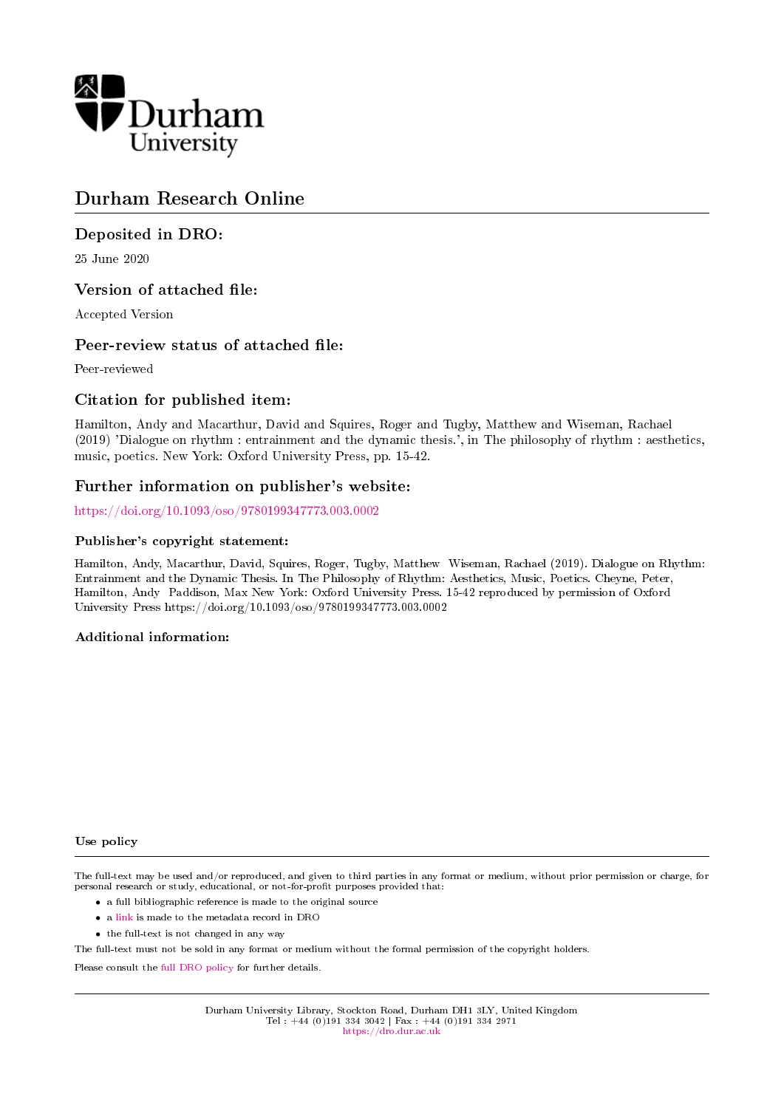

# Durham Research Online

# Deposited in DRO:

25 June 2020

## Version of attached file:

Accepted Version

## Peer-review status of attached file:

Peer-reviewed

## Citation for published item:

Hamilton, Andy and Macarthur, David and Squires, Roger and Tugby, Matthew and Wiseman, Rachael (2019) 'Dialogue on rhythm : entrainment and the dynamic thesis.', in The philosophy of rhythm : aesthetics, music, poetics. New York: Oxford University Press, pp. 15-42.

### Further information on publisher's website:

<https://doi.org/10.1093/oso/9780199347773.003.0002>

### Publisher's copyright statement:

Hamilton, Andy, Macarthur, David, Squires, Roger, Tugby, Matthew Wiseman, Rachael (2019). Dialogue on Rhythm: Entrainment and the Dynamic Thesis. In The Philosophy of Rhythm: Aesthetics, Music, Poetics. Cheyne, Peter, Hamilton, Andy Paddison, Max New York: Oxford University Press. 15-42 reproduced by permission of Oxford University Press https://doi.org/10.1093/oso/9780199347773.003.0002

### Additional information:

#### Use policy

The full-text may be used and/or reproduced, and given to third parties in any format or medium, without prior permission or charge, for personal research or study, educational, or not-for-profit purposes provided that:

- a full bibliographic reference is made to the original source
- a [link](http://dro.dur.ac.uk/31156/) is made to the metadata record in DRO
- the full-text is not changed in any way

The full-text must not be sold in any format or medium without the formal permission of the copyright holders.

Please consult the [full DRO policy](https://dro.dur.ac.uk/policies/usepolicy.pdf) for further details.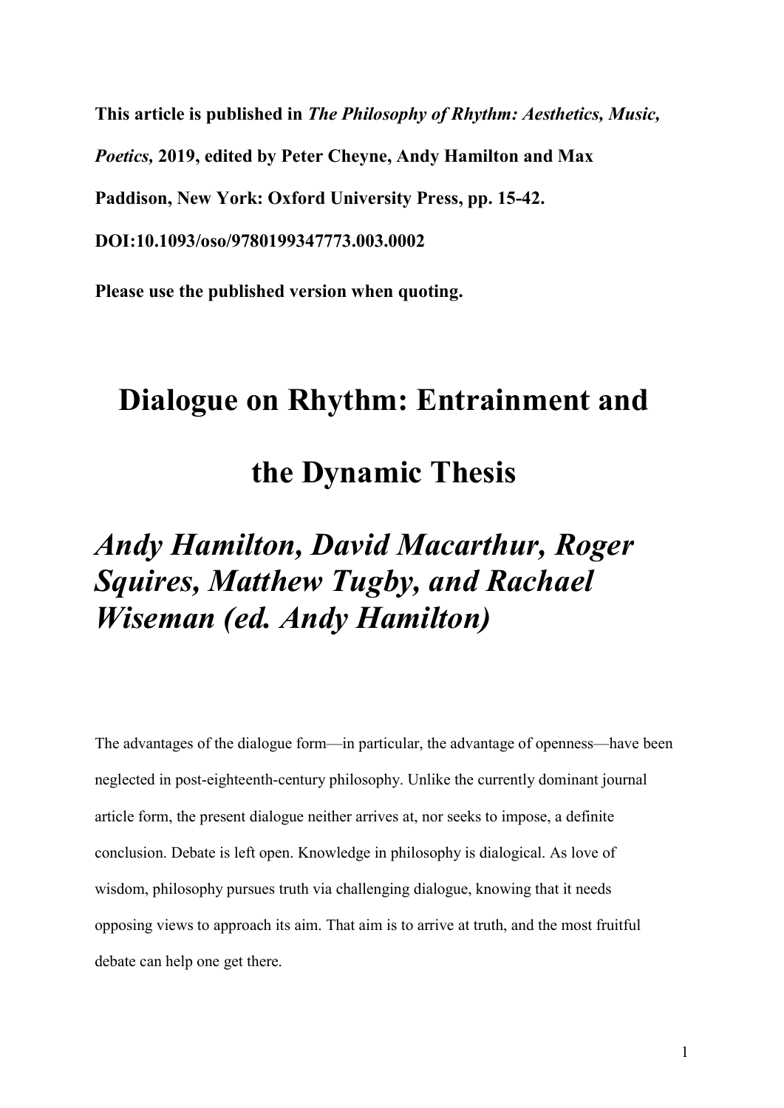This article is published in The Philosophy of Rhythm: Aesthetics, Music, Poetics, 2019, edited by Peter Cheyne, Andy Hamilton and Max Paddison, New York: Oxford University Press, pp. 15-42.

DOI:10.1093/oso/9780199347773.003.0002

Please use the published version when quoting.

# Dialogue on Rhythm: Entrainment and

the Dynamic Thesis

# Andy Hamilton, David Macarthur, Roger Squires, Matthew Tugby, and Rachael Wiseman (ed. Andy Hamilton)

The advantages of the dialogue form—in particular, the advantage of openness—have been neglected in post-eighteenth-century philosophy. Unlike the currently dominant journal article form, the present dialogue neither arrives at, nor seeks to impose, a definite conclusion. Debate is left open. Knowledge in philosophy is dialogical. As love of wisdom, philosophy pursues truth via challenging dialogue, knowing that it needs opposing views to approach its aim. That aim is to arrive at truth, and the most fruitful debate can help one get there.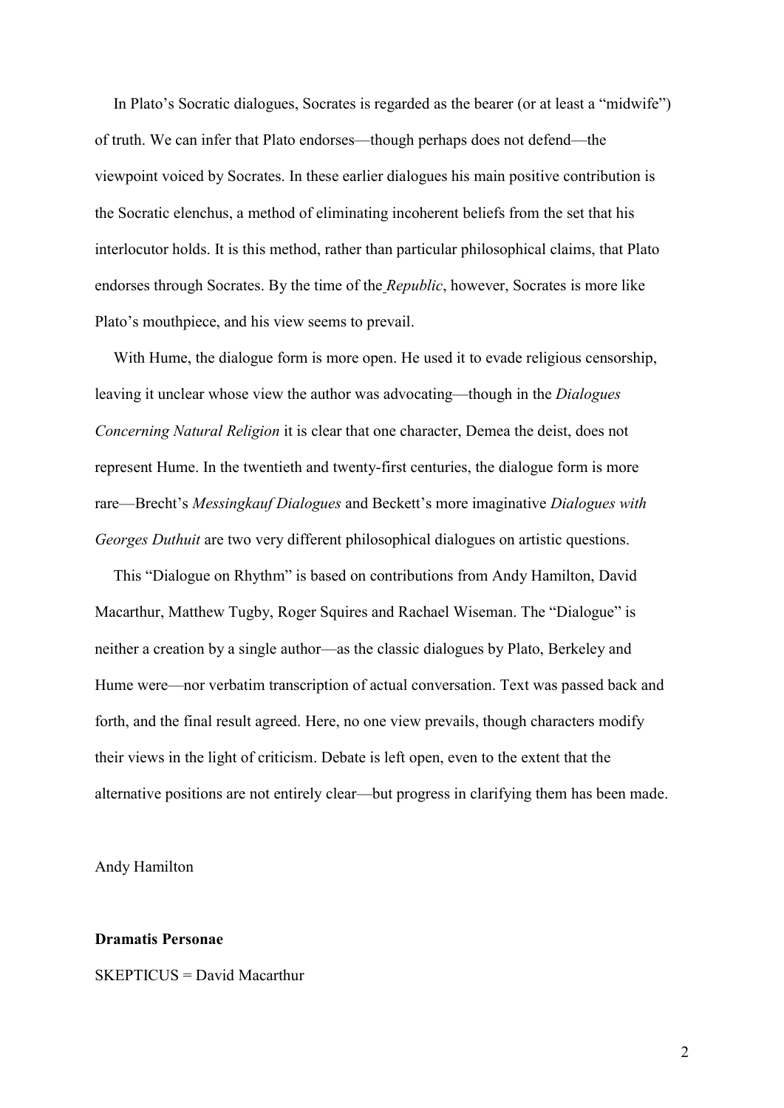In Plato's Socratic dialogues, Socrates is regarded as the bearer (or at least a "midwife") of truth. We can infer that Plato endorses—though perhaps does not defend—the viewpoint voiced by Socrates. In these earlier dialogues his main positive contribution is the Socratic elenchus, a method of eliminating incoherent beliefs from the set that his interlocutor holds. It is this method, rather than particular philosophical claims, that Plato endorses through Socrates. By the time of the Republic, however, Socrates is more like Plato's mouthpiece, and his view seems to prevail.

With Hume, the dialogue form is more open. He used it to evade religious censorship, leaving it unclear whose view the author was advocating—though in the Dialogues Concerning Natural Religion it is clear that one character, Demea the deist, does not represent Hume. In the twentieth and twenty-first centuries, the dialogue form is more rare—Brecht's Messingkauf Dialogues and Beckett's more imaginative Dialogues with Georges Duthuit are two very different philosophical dialogues on artistic questions.

This "Dialogue on Rhythm" is based on contributions from Andy Hamilton, David Macarthur, Matthew Tugby, Roger Squires and Rachael Wiseman. The "Dialogue" is neither a creation by a single author—as the classic dialogues by Plato, Berkeley and Hume were—nor verbatim transcription of actual conversation. Text was passed back and forth, and the final result agreed. Here, no one view prevails, though characters modify their views in the light of criticism. Debate is left open, even to the extent that the alternative positions are not entirely clear—but progress in clarifying them has been made.

Andy Hamilton

### Dramatis Personae

SKEPTICUS = David Macarthur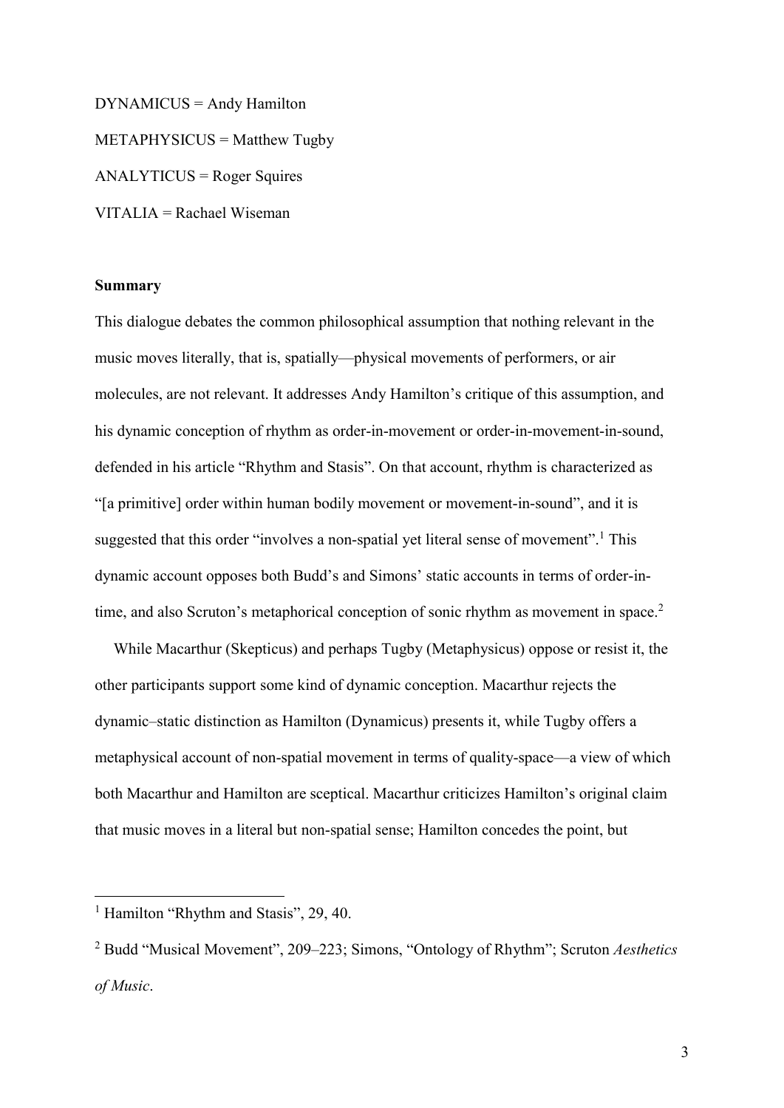DYNAMICUS = Andy Hamilton METAPHYSICUS = Matthew Tugby ANALYTICUS = Roger Squires VITALIA = Rachael Wiseman

### Summary

This dialogue debates the common philosophical assumption that nothing relevant in the music moves literally, that is, spatially—physical movements of performers, or air molecules, are not relevant. It addresses Andy Hamilton's critique of this assumption, and his dynamic conception of rhythm as order-in-movement or order-in-movement-in-sound, defended in his article "Rhythm and Stasis". On that account, rhythm is characterized as "[a primitive] order within human bodily movement or movement-in-sound", and it is suggested that this order "involves a non-spatial yet literal sense of movement".<sup>1</sup> This dynamic account opposes both Budd's and Simons' static accounts in terms of order-intime, and also Scruton's metaphorical conception of sonic rhythm as movement in space.<sup>2</sup>

While Macarthur (Skepticus) and perhaps Tugby (Metaphysicus) oppose or resist it, the other participants support some kind of dynamic conception. Macarthur rejects the dynamic–static distinction as Hamilton (Dynamicus) presents it, while Tugby offers a metaphysical account of non-spatial movement in terms of quality-space—a view of which both Macarthur and Hamilton are sceptical. Macarthur criticizes Hamilton's original claim that music moves in a literal but non-spatial sense; Hamilton concedes the point, but

<sup>&</sup>lt;sup>1</sup> Hamilton "Rhythm and Stasis", 29, 40.

<sup>&</sup>lt;sup>2</sup> Budd "Musical Movement", 209–223; Simons, "Ontology of Rhythm"; Scruton Aesthetics of Music.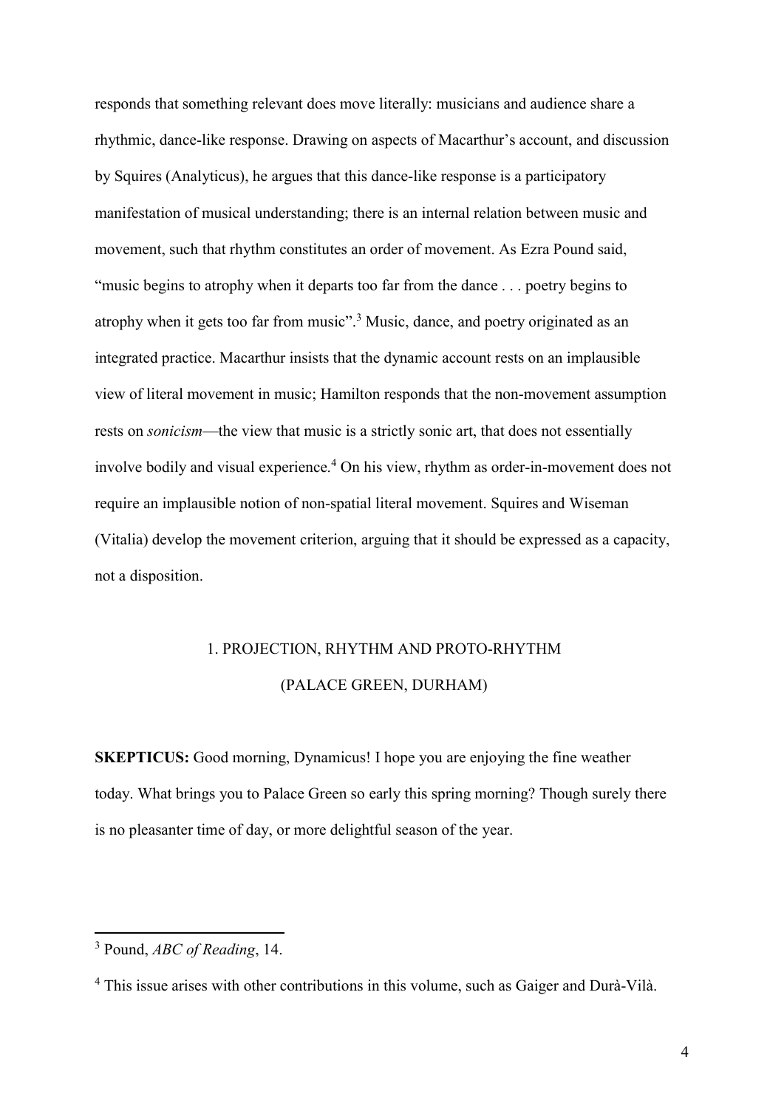responds that something relevant does move literally: musicians and audience share a rhythmic, dance-like response. Drawing on aspects of Macarthur's account, and discussion by Squires (Analyticus), he argues that this dance-like response is a participatory manifestation of musical understanding; there is an internal relation between music and movement, such that rhythm constitutes an order of movement. As Ezra Pound said, "music begins to atrophy when it departs too far from the dance . . . poetry begins to atrophy when it gets too far from music".<sup>3</sup> Music, dance, and poetry originated as an integrated practice. Macarthur insists that the dynamic account rests on an implausible view of literal movement in music; Hamilton responds that the non-movement assumption rests on sonicism—the view that music is a strictly sonic art, that does not essentially involve bodily and visual experience.<sup>4</sup> On his view, rhythm as order-in-movement does not require an implausible notion of non-spatial literal movement. Squires and Wiseman (Vitalia) develop the movement criterion, arguing that it should be expressed as a capacity, not a disposition.

# 1. PROJECTION, RHYTHM AND PROTO-RHYTHM (PALACE GREEN, DURHAM)

SKEPTICUS: Good morning, Dynamicus! I hope you are enjoying the fine weather today. What brings you to Palace Green so early this spring morning? Though surely there is no pleasanter time of day, or more delightful season of the year.

 $3$  Pound,  $ABC$  of Reading, 14.

<sup>&</sup>lt;sup>4</sup> This issue arises with other contributions in this volume, such as Gaiger and Durà-Vilà.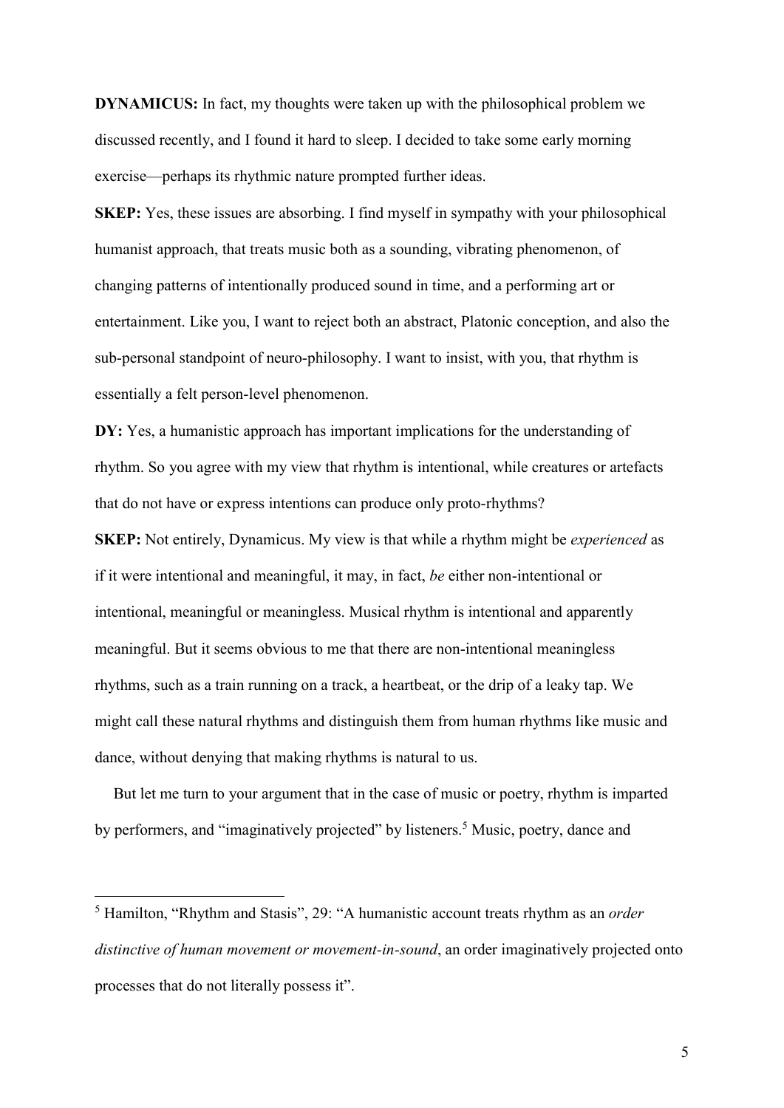DYNAMICUS: In fact, my thoughts were taken up with the philosophical problem we discussed recently, and I found it hard to sleep. I decided to take some early morning exercise—perhaps its rhythmic nature prompted further ideas.

SKEP: Yes, these issues are absorbing. I find myself in sympathy with your philosophical humanist approach, that treats music both as a sounding, vibrating phenomenon, of changing patterns of intentionally produced sound in time, and a performing art or entertainment. Like you, I want to reject both an abstract, Platonic conception, and also the sub-personal standpoint of neuro-philosophy. I want to insist, with you, that rhythm is essentially a felt person-level phenomenon.

DY: Yes, a humanistic approach has important implications for the understanding of rhythm. So you agree with my view that rhythm is intentional, while creatures or artefacts that do not have or express intentions can produce only proto-rhythms?

SKEP: Not entirely, Dynamicus. My view is that while a rhythm might be *experienced* as if it were intentional and meaningful, it may, in fact, be either non-intentional or intentional, meaningful or meaningless. Musical rhythm is intentional and apparently meaningful. But it seems obvious to me that there are non-intentional meaningless rhythms, such as a train running on a track, a heartbeat, or the drip of a leaky tap. We might call these natural rhythms and distinguish them from human rhythms like music and dance, without denying that making rhythms is natural to us.

But let me turn to your argument that in the case of music or poetry, rhythm is imparted by performers, and "imaginatively projected" by listeners.<sup>5</sup> Music, poetry, dance and

<sup>&</sup>lt;sup>5</sup> Hamilton, "Rhythm and Stasis", 29: "A humanistic account treats rhythm as an *order* distinctive of human movement or movement-in-sound, an order imaginatively projected onto processes that do not literally possess it".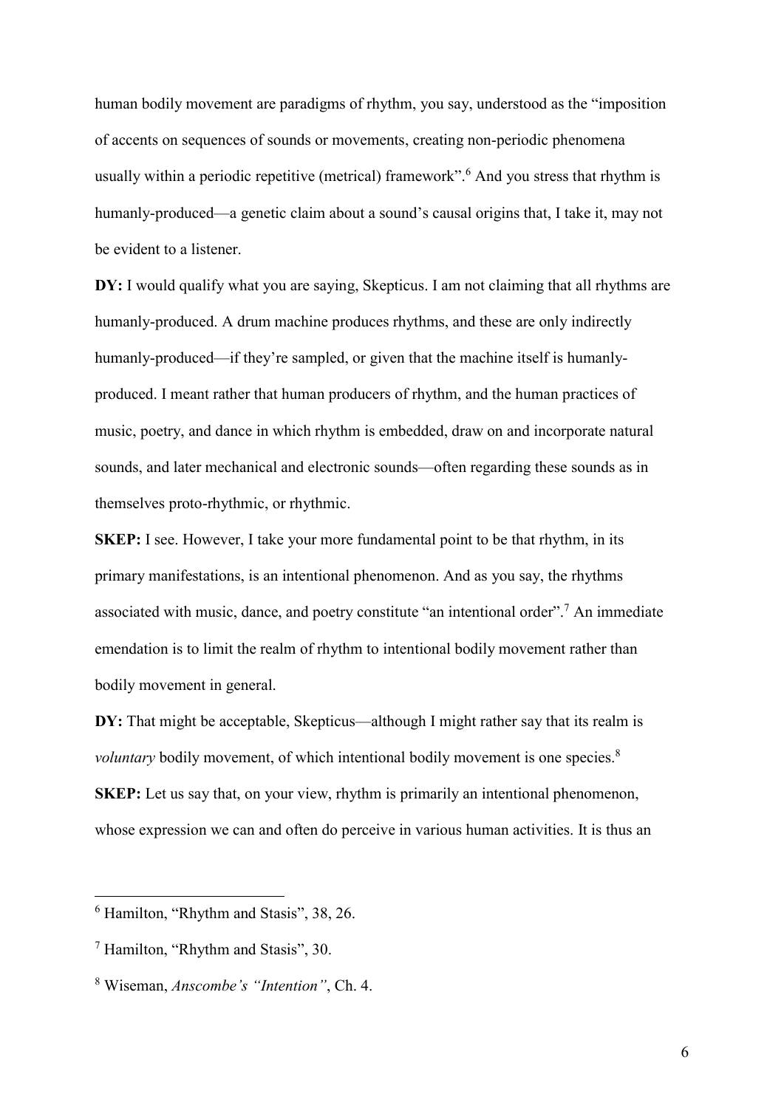human bodily movement are paradigms of rhythm, you say, understood as the "imposition of accents on sequences of sounds or movements, creating non-periodic phenomena usually within a periodic repetitive (metrical) framework".<sup>6</sup> And you stress that rhythm is humanly-produced—a genetic claim about a sound's causal origins that, I take it, may not be evident to a listener.

DY: I would qualify what you are saying, Skepticus. I am not claiming that all rhythms are humanly-produced. A drum machine produces rhythms, and these are only indirectly humanly-produced—if they're sampled, or given that the machine itself is humanlyproduced. I meant rather that human producers of rhythm, and the human practices of music, poetry, and dance in which rhythm is embedded, draw on and incorporate natural sounds, and later mechanical and electronic sounds—often regarding these sounds as in themselves proto-rhythmic, or rhythmic.

SKEP: I see. However, I take your more fundamental point to be that rhythm, in its primary manifestations, is an intentional phenomenon. And as you say, the rhythms associated with music, dance, and poetry constitute "an intentional order".<sup>7</sup> An immediate emendation is to limit the realm of rhythm to intentional bodily movement rather than bodily movement in general.

DY: That might be acceptable, Skepticus—although I might rather say that its realm is voluntary bodily movement, of which intentional bodily movement is one species.<sup>8</sup> SKEP: Let us say that, on your view, rhythm is primarily an intentional phenomenon, whose expression we can and often do perceive in various human activities. It is thus an

<sup>6</sup> Hamilton, "Rhythm and Stasis", 38, 26.

<sup>7</sup> Hamilton, "Rhythm and Stasis", 30.

<sup>&</sup>lt;sup>8</sup> Wiseman, *Anscombe's "Intention"*, Ch. 4.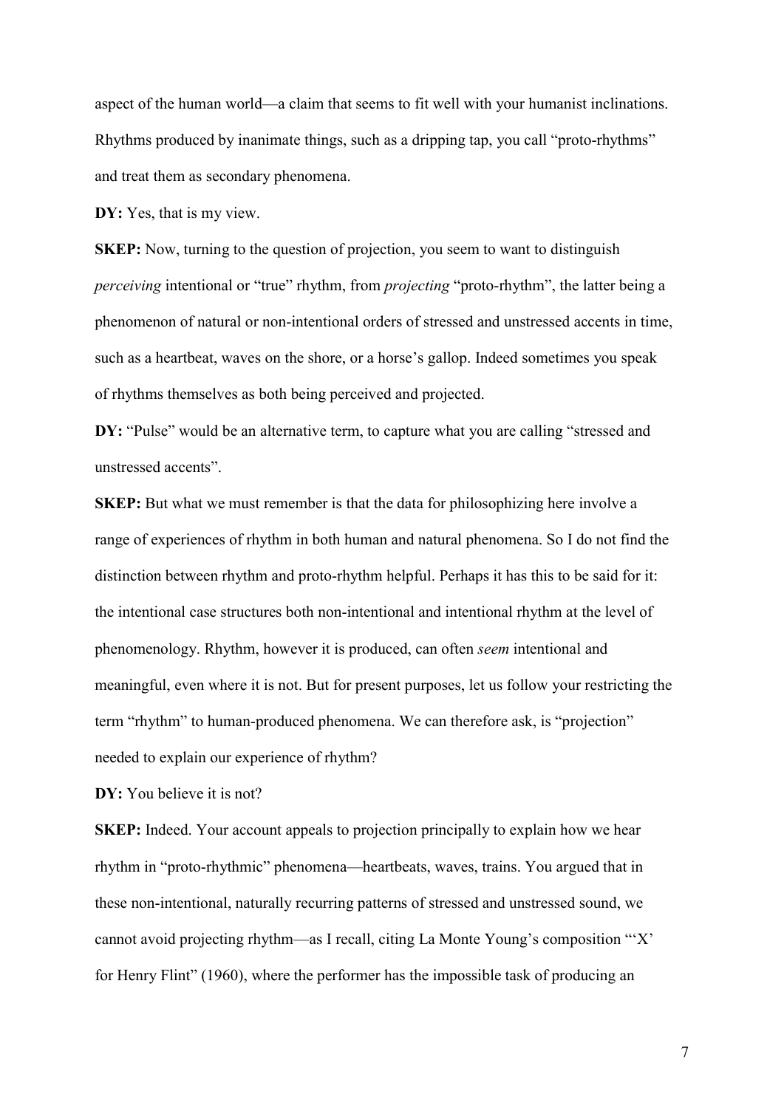aspect of the human world—a claim that seems to fit well with your humanist inclinations. Rhythms produced by inanimate things, such as a dripping tap, you call "proto-rhythms" and treat them as secondary phenomena.

DY: Yes, that is my view.

SKEP: Now, turning to the question of projection, you seem to want to distinguish perceiving intentional or "true" rhythm, from projecting "proto-rhythm", the latter being a phenomenon of natural or non-intentional orders of stressed and unstressed accents in time, such as a heartbeat, waves on the shore, or a horse's gallop. Indeed sometimes you speak of rhythms themselves as both being perceived and projected.

DY: "Pulse" would be an alternative term, to capture what you are calling "stressed and unstressed accents".

SKEP: But what we must remember is that the data for philosophizing here involve a range of experiences of rhythm in both human and natural phenomena. So I do not find the distinction between rhythm and proto-rhythm helpful. Perhaps it has this to be said for it: the intentional case structures both non-intentional and intentional rhythm at the level of phenomenology. Rhythm, however it is produced, can often seem intentional and meaningful, even where it is not. But for present purposes, let us follow your restricting the term "rhythm" to human-produced phenomena. We can therefore ask, is "projection" needed to explain our experience of rhythm?

DY: You believe it is not?

SKEP: Indeed. Your account appeals to projection principally to explain how we hear rhythm in "proto-rhythmic" phenomena—heartbeats, waves, trains. You argued that in these non-intentional, naturally recurring patterns of stressed and unstressed sound, we cannot avoid projecting rhythm—as I recall, citing La Monte Young's composition "'X' for Henry Flint" (1960), where the performer has the impossible task of producing an

7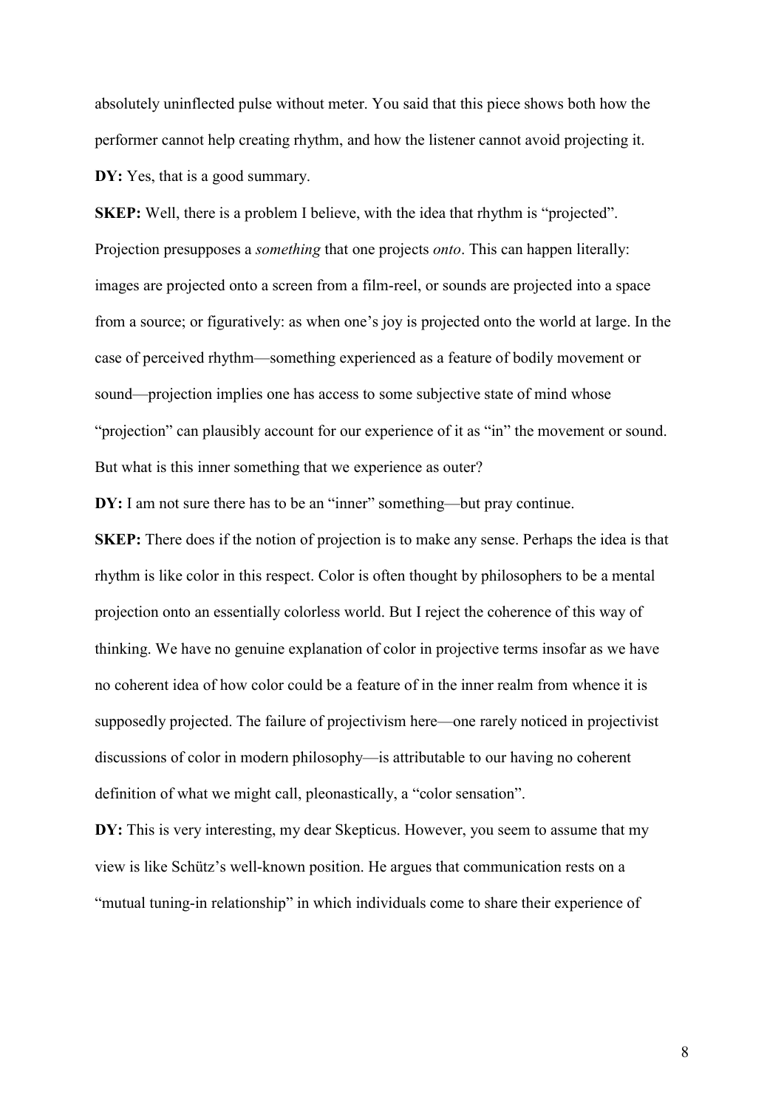absolutely uninflected pulse without meter. You said that this piece shows both how the performer cannot help creating rhythm, and how the listener cannot avoid projecting it. DY: Yes, that is a good summary.

SKEP: Well, there is a problem I believe, with the idea that rhythm is "projected". Projection presupposes a *something* that one projects *onto*. This can happen literally: images are projected onto a screen from a film-reel, or sounds are projected into a space from a source; or figuratively: as when one's joy is projected onto the world at large. In the case of perceived rhythm—something experienced as a feature of bodily movement or sound—projection implies one has access to some subjective state of mind whose "projection" can plausibly account for our experience of it as "in" the movement or sound. But what is this inner something that we experience as outer?

DY: I am not sure there has to be an "inner" something—but pray continue.

SKEP: There does if the notion of projection is to make any sense. Perhaps the idea is that rhythm is like color in this respect. Color is often thought by philosophers to be a mental projection onto an essentially colorless world. But I reject the coherence of this way of thinking. We have no genuine explanation of color in projective terms insofar as we have no coherent idea of how color could be a feature of in the inner realm from whence it is supposedly projected. The failure of projectivism here—one rarely noticed in projectivist discussions of color in modern philosophy—is attributable to our having no coherent definition of what we might call, pleonastically, a "color sensation".

DY: This is very interesting, my dear Skepticus. However, you seem to assume that my view is like Schütz's well-known position. He argues that communication rests on a "mutual tuning-in relationship" in which individuals come to share their experience of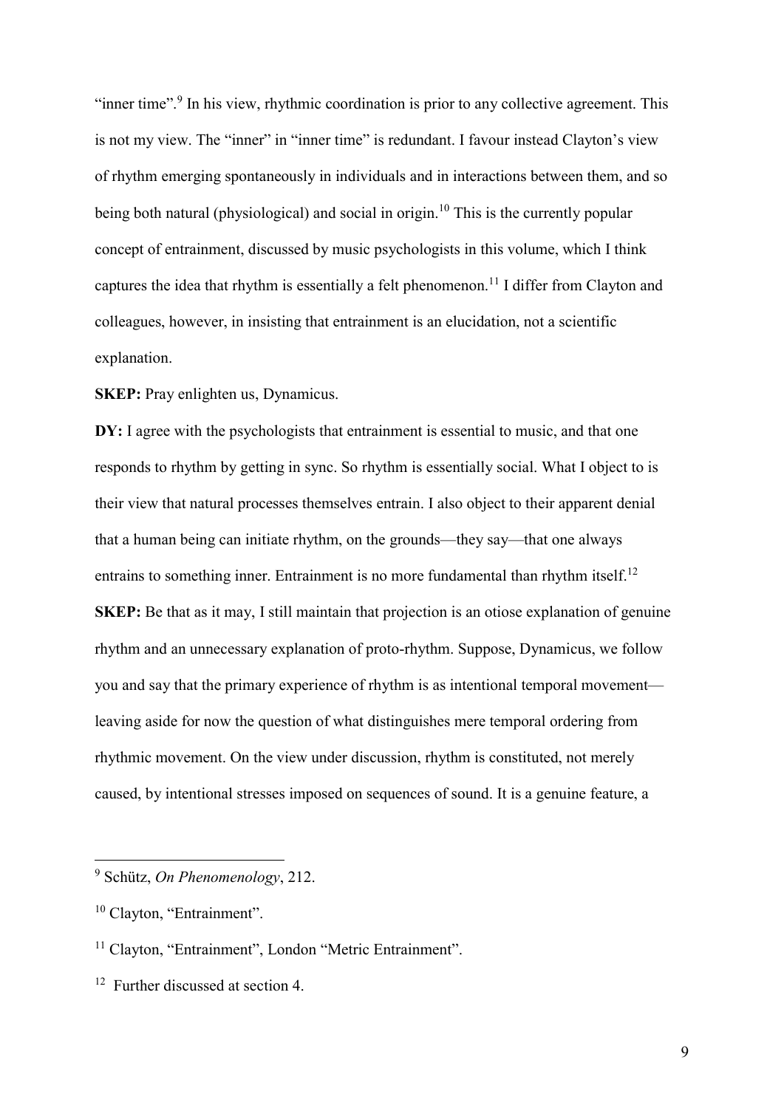"inner time".<sup>9</sup> In his view, rhythmic coordination is prior to any collective agreement. This is not my view. The "inner" in "inner time" is redundant. I favour instead Clayton's view of rhythm emerging spontaneously in individuals and in interactions between them, and so being both natural (physiological) and social in origin.<sup>10</sup> This is the currently popular concept of entrainment, discussed by music psychologists in this volume, which I think captures the idea that rhythm is essentially a felt phenomenon.<sup>11</sup> I differ from Clayton and colleagues, however, in insisting that entrainment is an elucidation, not a scientific explanation.

SKEP: Pray enlighten us, Dynamicus.

DY: I agree with the psychologists that entrainment is essential to music, and that one responds to rhythm by getting in sync. So rhythm is essentially social. What I object to is their view that natural processes themselves entrain. I also object to their apparent denial that a human being can initiate rhythm, on the grounds—they say—that one always entrains to something inner. Entrainment is no more fundamental than rhythm itself.<sup>12</sup> SKEP: Be that as it may, I still maintain that projection is an otiose explanation of genuine rhythm and an unnecessary explanation of proto-rhythm. Suppose, Dynamicus, we follow you and say that the primary experience of rhythm is as intentional temporal movement leaving aside for now the question of what distinguishes mere temporal ordering from rhythmic movement. On the view under discussion, rhythm is constituted, not merely caused, by intentional stresses imposed on sequences of sound. It is a genuine feature, a

<sup>&</sup>lt;sup>9</sup> Schütz, On Phenomenology, 212.

<sup>&</sup>lt;sup>10</sup> Clayton, "Entrainment".

<sup>&</sup>lt;sup>11</sup> Clayton, "Entrainment", London "Metric Entrainment".

<sup>&</sup>lt;sup>12</sup> Further discussed at section 4.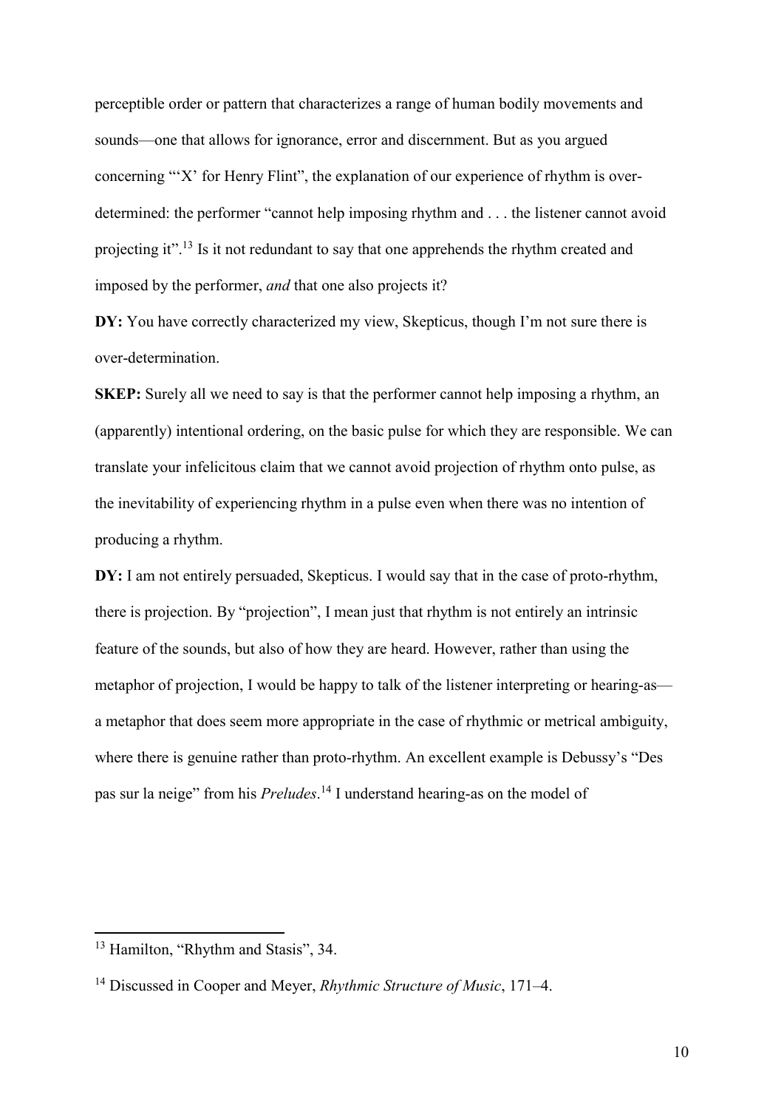perceptible order or pattern that characterizes a range of human bodily movements and sounds—one that allows for ignorance, error and discernment. But as you argued concerning "'X' for Henry Flint", the explanation of our experience of rhythm is overdetermined: the performer "cannot help imposing rhythm and . . . the listener cannot avoid projecting it".<sup>13</sup> Is it not redundant to say that one apprehends the rhythm created and imposed by the performer, and that one also projects it?

DY: You have correctly characterized my view, Skepticus, though I'm not sure there is over-determination.

SKEP: Surely all we need to say is that the performer cannot help imposing a rhythm, an (apparently) intentional ordering, on the basic pulse for which they are responsible. We can translate your infelicitous claim that we cannot avoid projection of rhythm onto pulse, as the inevitability of experiencing rhythm in a pulse even when there was no intention of producing a rhythm.

DY: I am not entirely persuaded, Skepticus. I would say that in the case of proto-rhythm, there is projection. By "projection", I mean just that rhythm is not entirely an intrinsic feature of the sounds, but also of how they are heard. However, rather than using the metaphor of projection, I would be happy to talk of the listener interpreting or hearing-as a metaphor that does seem more appropriate in the case of rhythmic or metrical ambiguity, where there is genuine rather than proto-rhythm. An excellent example is Debussy's "Des pas sur la neige" from his *Preludes*.<sup>14</sup> I understand hearing-as on the model of

<sup>&</sup>lt;sup>13</sup> Hamilton, "Rhythm and Stasis", 34.

<sup>&</sup>lt;sup>14</sup> Discussed in Cooper and Meyer, *Rhythmic Structure of Music*, 171–4.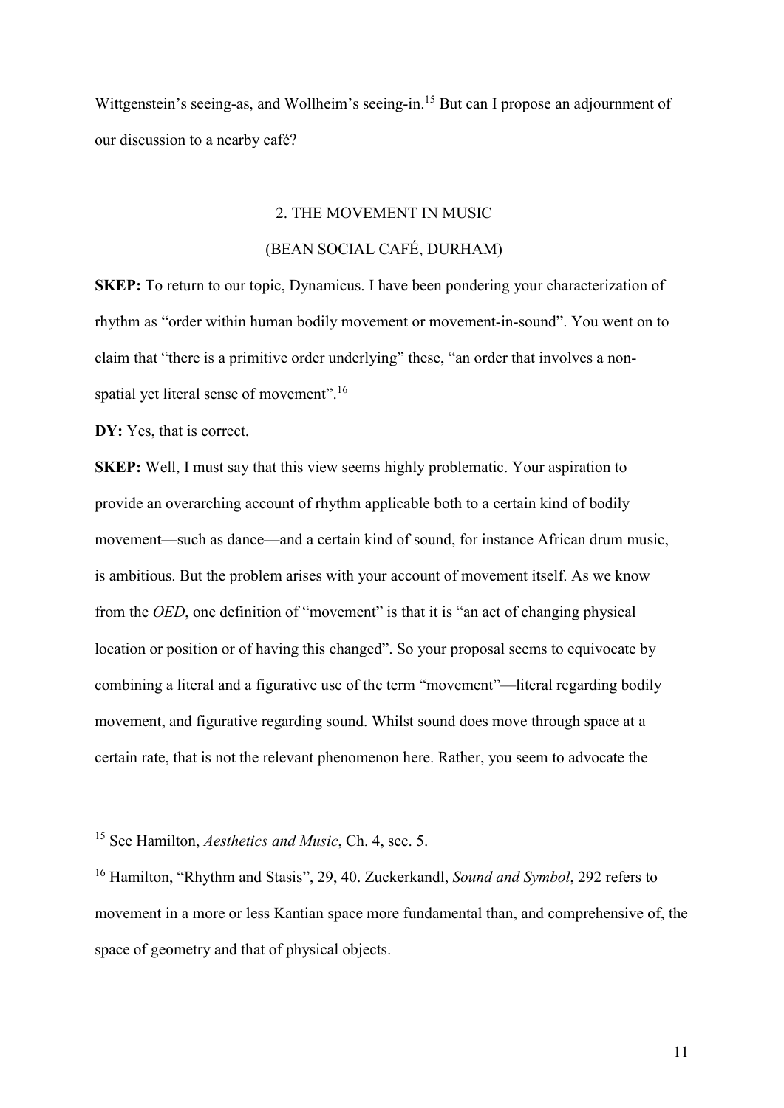Wittgenstein's seeing-as, and Wollheim's seeing-in.<sup>15</sup> But can I propose an adjournment of our discussion to a nearby café?

### 2. THE MOVEMENT IN MUSIC

# (BEAN SOCIAL CAFÉ, DURHAM)

SKEP: To return to our topic, Dynamicus. I have been pondering your characterization of rhythm as "order within human bodily movement or movement-in-sound". You went on to claim that "there is a primitive order underlying" these, "an order that involves a nonspatial yet literal sense of movement".<sup>16</sup>

DY: Yes, that is correct.

-

SKEP: Well, I must say that this view seems highly problematic. Your aspiration to provide an overarching account of rhythm applicable both to a certain kind of bodily movement—such as dance—and a certain kind of sound, for instance African drum music, is ambitious. But the problem arises with your account of movement itself. As we know from the OED, one definition of "movement" is that it is "an act of changing physical location or position or of having this changed". So your proposal seems to equivocate by combining a literal and a figurative use of the term "movement"—literal regarding bodily movement, and figurative regarding sound. Whilst sound does move through space at a certain rate, that is not the relevant phenomenon here. Rather, you seem to advocate the

<sup>&</sup>lt;sup>15</sup> See Hamilton, *Aesthetics and Music*, Ch. 4, sec. 5.

<sup>&</sup>lt;sup>16</sup> Hamilton, "Rhythm and Stasis", 29, 40. Zuckerkandl, Sound and Symbol, 292 refers to movement in a more or less Kantian space more fundamental than, and comprehensive of, the space of geometry and that of physical objects.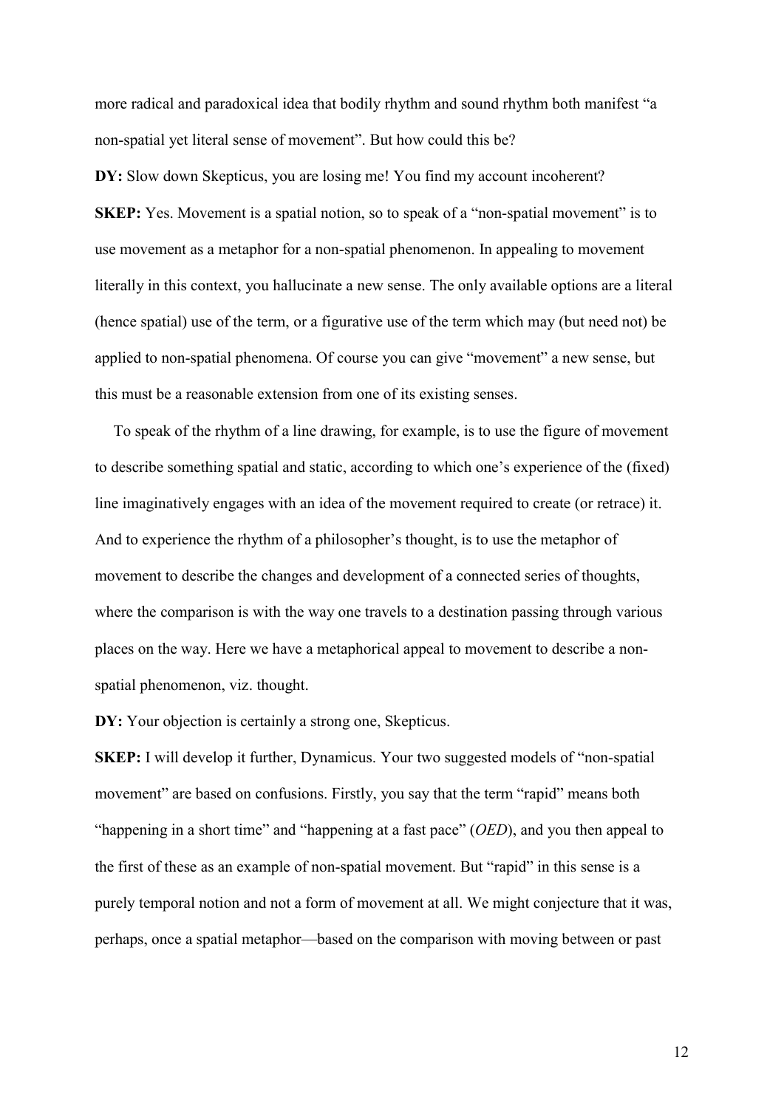more radical and paradoxical idea that bodily rhythm and sound rhythm both manifest "a non-spatial yet literal sense of movement". But how could this be?

DY: Slow down Skepticus, you are losing me! You find my account incoherent? SKEP: Yes. Movement is a spatial notion, so to speak of a "non-spatial movement" is to use movement as a metaphor for a non-spatial phenomenon. In appealing to movement literally in this context, you hallucinate a new sense. The only available options are a literal (hence spatial) use of the term, or a figurative use of the term which may (but need not) be applied to non-spatial phenomena. Of course you can give "movement" a new sense, but this must be a reasonable extension from one of its existing senses.

To speak of the rhythm of a line drawing, for example, is to use the figure of movement to describe something spatial and static, according to which one's experience of the (fixed) line imaginatively engages with an idea of the movement required to create (or retrace) it. And to experience the rhythm of a philosopher's thought, is to use the metaphor of movement to describe the changes and development of a connected series of thoughts, where the comparison is with the way one travels to a destination passing through various places on the way. Here we have a metaphorical appeal to movement to describe a nonspatial phenomenon, viz. thought.

DY: Your objection is certainly a strong one, Skepticus.

SKEP: I will develop it further, Dynamicus. Your two suggested models of "non-spatial movement" are based on confusions. Firstly, you say that the term "rapid" means both "happening in a short time" and "happening at a fast pace"  $(OED)$ , and you then appeal to the first of these as an example of non-spatial movement. But "rapid" in this sense is a purely temporal notion and not a form of movement at all. We might conjecture that it was, perhaps, once a spatial metaphor—based on the comparison with moving between or past

12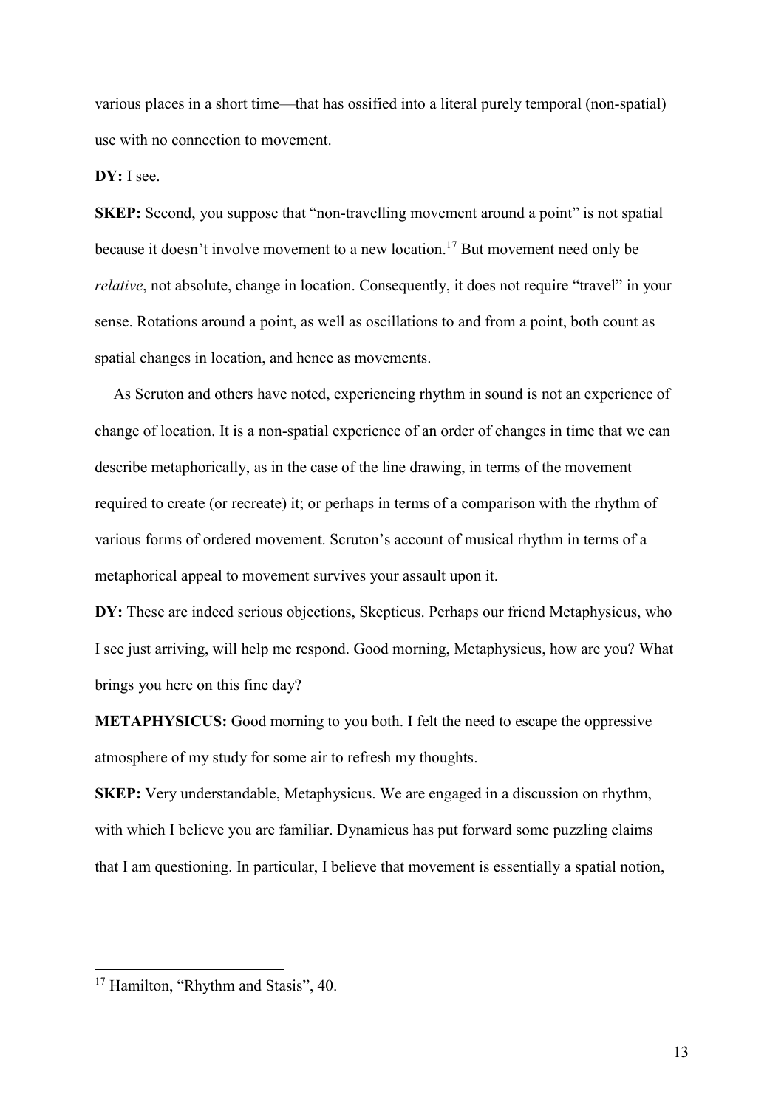various places in a short time—that has ossified into a literal purely temporal (non-spatial) use with no connection to movement.

### DY: I see.

SKEP: Second, you suppose that "non-travelling movement around a point" is not spatial because it doesn't involve movement to a new location.<sup>17</sup> But movement need only be relative, not absolute, change in location. Consequently, it does not require "travel" in your sense. Rotations around a point, as well as oscillations to and from a point, both count as spatial changes in location, and hence as movements.

As Scruton and others have noted, experiencing rhythm in sound is not an experience of change of location. It is a non-spatial experience of an order of changes in time that we can describe metaphorically, as in the case of the line drawing, in terms of the movement required to create (or recreate) it; or perhaps in terms of a comparison with the rhythm of various forms of ordered movement. Scruton's account of musical rhythm in terms of a metaphorical appeal to movement survives your assault upon it.

DY: These are indeed serious objections, Skepticus. Perhaps our friend Metaphysicus, who I see just arriving, will help me respond. Good morning, Metaphysicus, how are you? What brings you here on this fine day?

METAPHYSICUS: Good morning to you both. I felt the need to escape the oppressive atmosphere of my study for some air to refresh my thoughts.

SKEP: Very understandable, Metaphysicus. We are engaged in a discussion on rhythm, with which I believe you are familiar. Dynamicus has put forward some puzzling claims that I am questioning. In particular, I believe that movement is essentially a spatial notion,

<sup>&</sup>lt;sup>17</sup> Hamilton, "Rhythm and Stasis", 40.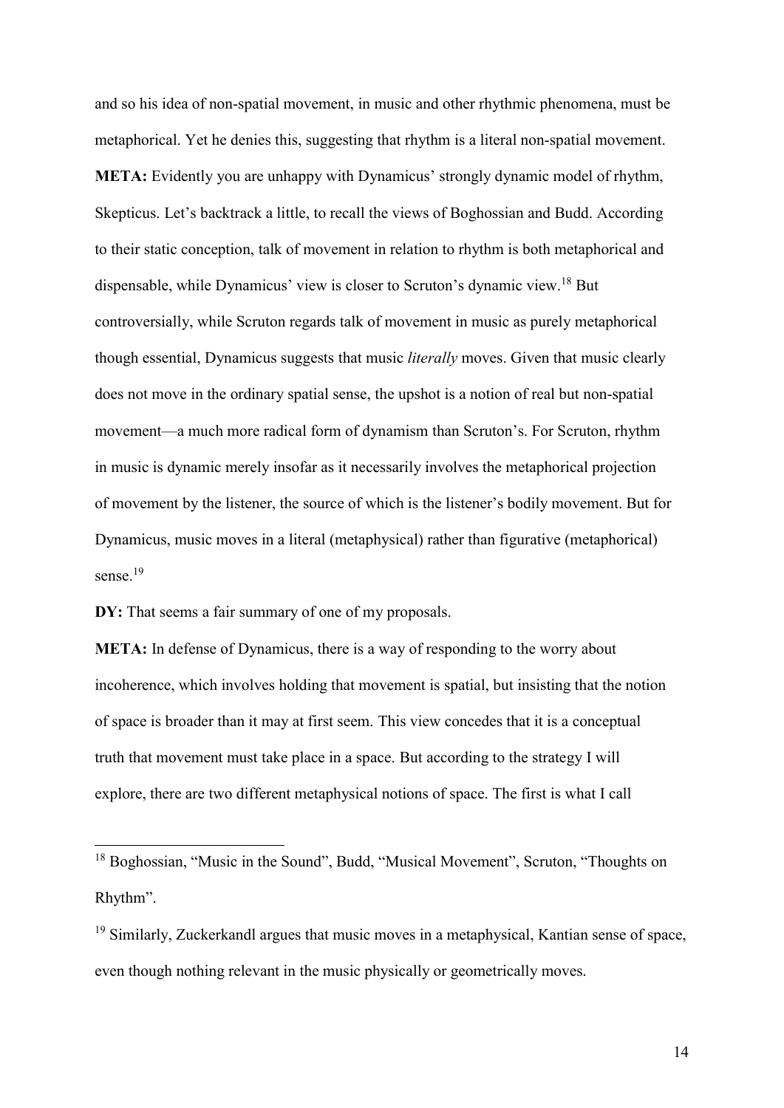and so his idea of non-spatial movement, in music and other rhythmic phenomena, must be metaphorical. Yet he denies this, suggesting that rhythm is a literal non-spatial movement. META: Evidently you are unhappy with Dynamicus' strongly dynamic model of rhythm, Skepticus. Let's backtrack a little, to recall the views of Boghossian and Budd. According to their static conception, talk of movement in relation to rhythm is both metaphorical and dispensable, while Dynamicus' view is closer to Scruton's dynamic view.<sup>18</sup> But controversially, while Scruton regards talk of movement in music as purely metaphorical though essential, Dynamicus suggests that music literally moves. Given that music clearly does not move in the ordinary spatial sense, the upshot is a notion of real but non-spatial movement—a much more radical form of dynamism than Scruton's. For Scruton, rhythm in music is dynamic merely insofar as it necessarily involves the metaphorical projection of movement by the listener, the source of which is the listener's bodily movement. But for Dynamicus, music moves in a literal (metaphysical) rather than figurative (metaphorical) sense.<sup>19</sup>

DY: That seems a fair summary of one of my proposals.

-

META: In defense of Dynamicus, there is a way of responding to the worry about incoherence, which involves holding that movement is spatial, but insisting that the notion of space is broader than it may at first seem. This view concedes that it is a conceptual truth that movement must take place in a space. But according to the strategy I will explore, there are two different metaphysical notions of space. The first is what I call

<sup>&</sup>lt;sup>18</sup> Boghossian, "Music in the Sound", Budd, "Musical Movement", Scruton, "Thoughts on Rhythm".

<sup>&</sup>lt;sup>19</sup> Similarly, Zuckerkandl argues that music moves in a metaphysical, Kantian sense of space, even though nothing relevant in the music physically or geometrically moves.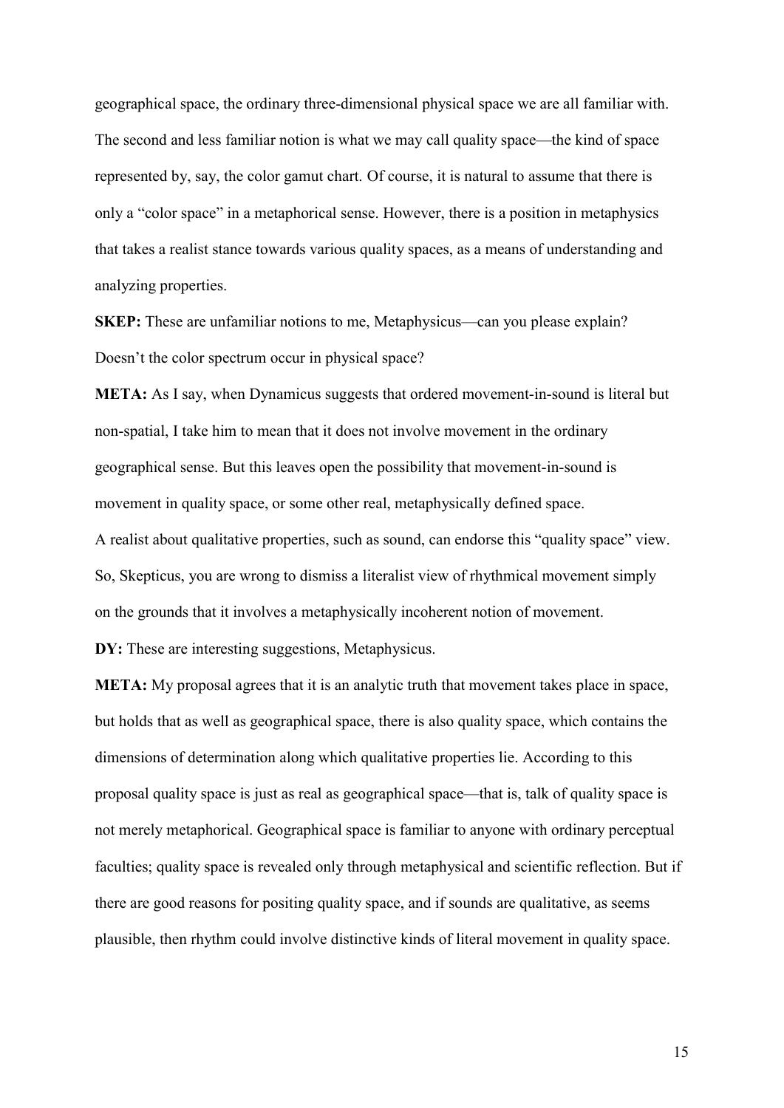geographical space, the ordinary three-dimensional physical space we are all familiar with. The second and less familiar notion is what we may call quality space—the kind of space represented by, say, the color gamut chart. Of course, it is natural to assume that there is only a "color space" in a metaphorical sense. However, there is a position in metaphysics that takes a realist stance towards various quality spaces, as a means of understanding and analyzing properties.

SKEP: These are unfamiliar notions to me, Metaphysicus—can you please explain? Doesn't the color spectrum occur in physical space?

META: As I say, when Dynamicus suggests that ordered movement-in-sound is literal but non-spatial, I take him to mean that it does not involve movement in the ordinary geographical sense. But this leaves open the possibility that movement-in-sound is movement in quality space, or some other real, metaphysically defined space. A realist about qualitative properties, such as sound, can endorse this "quality space" view. So, Skepticus, you are wrong to dismiss a literalist view of rhythmical movement simply

on the grounds that it involves a metaphysically incoherent notion of movement.

DY: These are interesting suggestions, Metaphysicus.

META: My proposal agrees that it is an analytic truth that movement takes place in space, but holds that as well as geographical space, there is also quality space, which contains the dimensions of determination along which qualitative properties lie. According to this proposal quality space is just as real as geographical space—that is, talk of quality space is not merely metaphorical. Geographical space is familiar to anyone with ordinary perceptual faculties; quality space is revealed only through metaphysical and scientific reflection. But if there are good reasons for positing quality space, and if sounds are qualitative, as seems plausible, then rhythm could involve distinctive kinds of literal movement in quality space.

15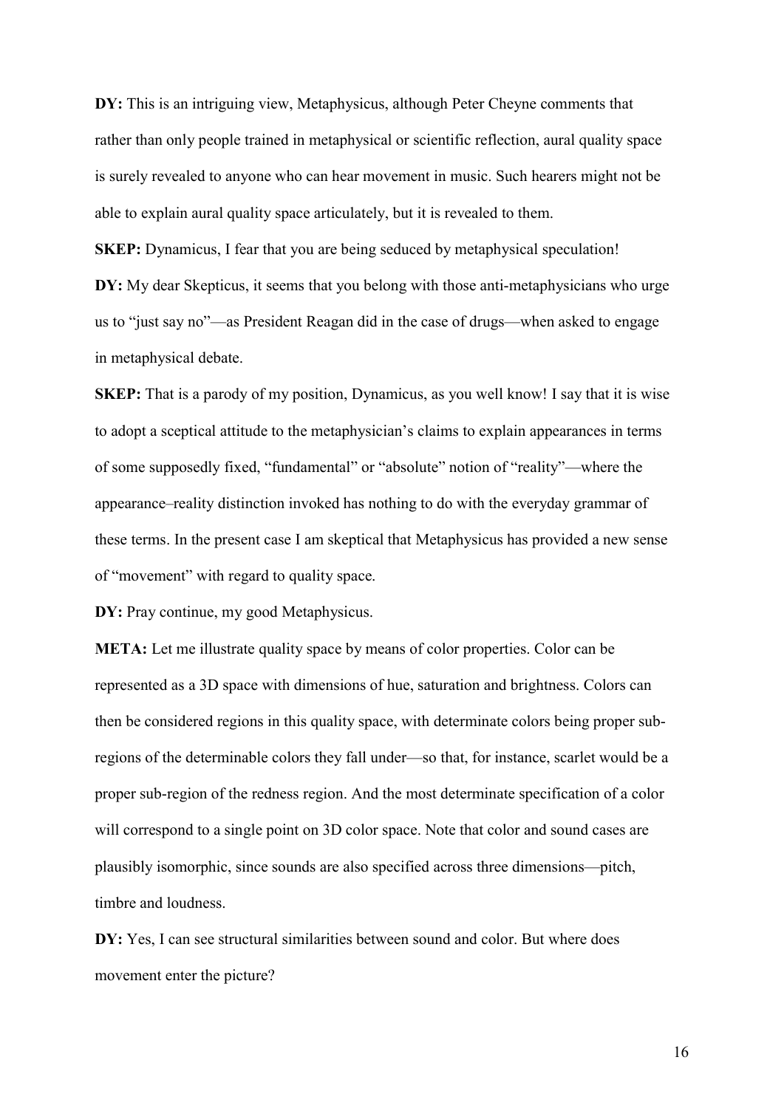DY: This is an intriguing view, Metaphysicus, although Peter Cheyne comments that rather than only people trained in metaphysical or scientific reflection, aural quality space is surely revealed to anyone who can hear movement in music. Such hearers might not be able to explain aural quality space articulately, but it is revealed to them.

SKEP: Dynamicus, I fear that you are being seduced by metaphysical speculation! DY: My dear Skepticus, it seems that you belong with those anti-metaphysicians who urge us to "just say no"—as President Reagan did in the case of drugs—when asked to engage in metaphysical debate.

SKEP: That is a parody of my position, Dynamicus, as you well know! I say that it is wise to adopt a sceptical attitude to the metaphysician's claims to explain appearances in terms of some supposedly fixed, "fundamental" or "absolute" notion of "reality"—where the appearance–reality distinction invoked has nothing to do with the everyday grammar of these terms. In the present case I am skeptical that Metaphysicus has provided a new sense of "movement" with regard to quality space.

DY: Pray continue, my good Metaphysicus.

META: Let me illustrate quality space by means of color properties. Color can be represented as a 3D space with dimensions of hue, saturation and brightness. Colors can then be considered regions in this quality space, with determinate colors being proper subregions of the determinable colors they fall under—so that, for instance, scarlet would be a proper sub-region of the redness region. And the most determinate specification of a color will correspond to a single point on 3D color space. Note that color and sound cases are plausibly isomorphic, since sounds are also specified across three dimensions—pitch, timbre and loudness.

DY: Yes, I can see structural similarities between sound and color. But where does movement enter the picture?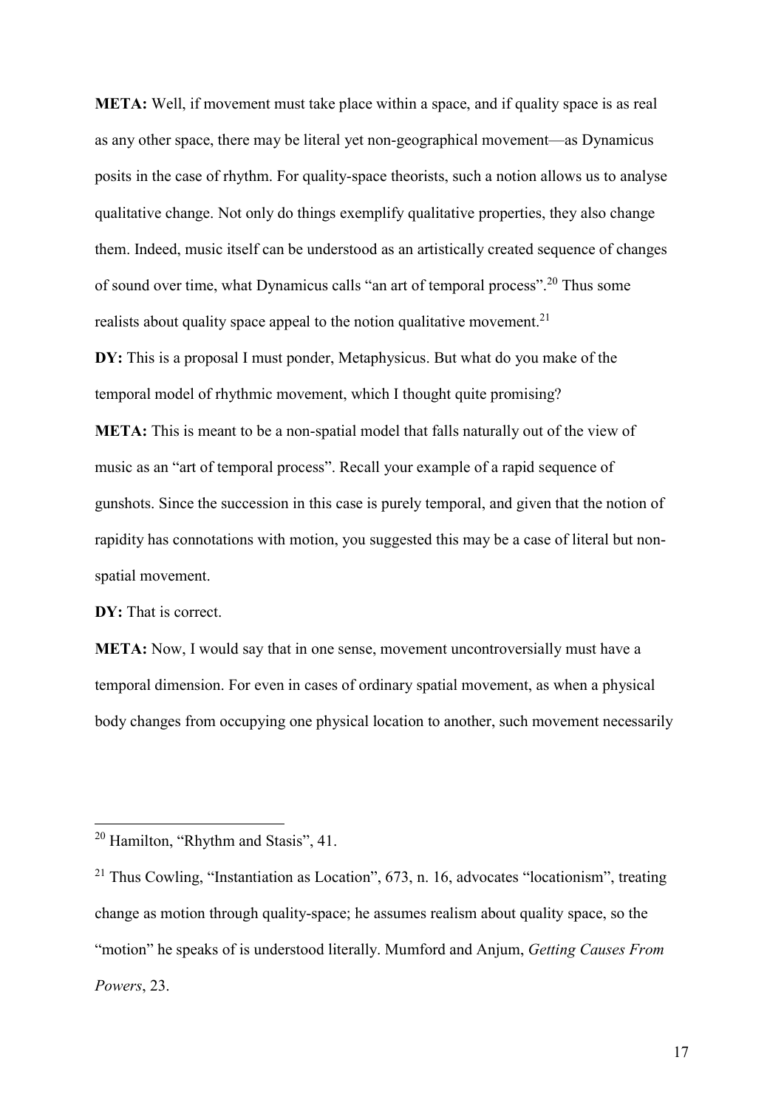META: Well, if movement must take place within a space, and if quality space is as real as any other space, there may be literal yet non-geographical movement—as Dynamicus posits in the case of rhythm. For quality-space theorists, such a notion allows us to analyse qualitative change. Not only do things exemplify qualitative properties, they also change them. Indeed, music itself can be understood as an artistically created sequence of changes of sound over time, what Dynamicus calls "an art of temporal process".<sup>20</sup> Thus some realists about quality space appeal to the notion qualitative movement.<sup>21</sup>

DY: This is a proposal I must ponder, Metaphysicus. But what do you make of the temporal model of rhythmic movement, which I thought quite promising?

META: This is meant to be a non-spatial model that falls naturally out of the view of music as an "art of temporal process". Recall your example of a rapid sequence of gunshots. Since the succession in this case is purely temporal, and given that the notion of rapidity has connotations with motion, you suggested this may be a case of literal but nonspatial movement.

DY: That is correct.

-

META: Now, I would say that in one sense, movement uncontroversially must have a temporal dimension. For even in cases of ordinary spatial movement, as when a physical body changes from occupying one physical location to another, such movement necessarily

<sup>&</sup>lt;sup>20</sup> Hamilton, "Rhythm and Stasis", 41.

<sup>&</sup>lt;sup>21</sup> Thus Cowling, "Instantiation as Location",  $673$ , n. 16, advocates "locationism", treating change as motion through quality-space; he assumes realism about quality space, so the "motion" he speaks of is understood literally. Mumford and Anjum, Getting Causes From Powers, 23.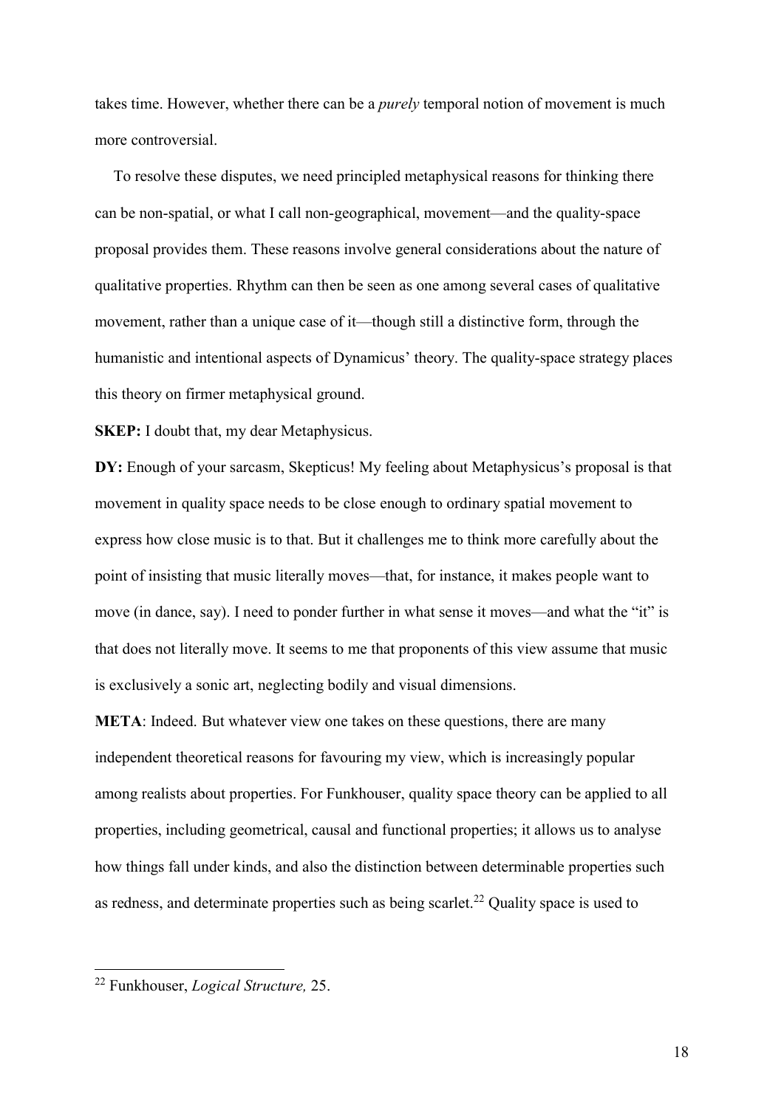takes time. However, whether there can be a *purely* temporal notion of movement is much more controversial.

To resolve these disputes, we need principled metaphysical reasons for thinking there can be non-spatial, or what I call non-geographical, movement—and the quality-space proposal provides them. These reasons involve general considerations about the nature of qualitative properties. Rhythm can then be seen as one among several cases of qualitative movement, rather than a unique case of it—though still a distinctive form, through the humanistic and intentional aspects of Dynamicus' theory. The quality-space strategy places this theory on firmer metaphysical ground.

SKEP: I doubt that, my dear Metaphysicus.

DY: Enough of your sarcasm, Skepticus! My feeling about Metaphysicus's proposal is that movement in quality space needs to be close enough to ordinary spatial movement to express how close music is to that. But it challenges me to think more carefully about the point of insisting that music literally moves—that, for instance, it makes people want to move (in dance, say). I need to ponder further in what sense it moves—and what the "it" is that does not literally move. It seems to me that proponents of this view assume that music is exclusively a sonic art, neglecting bodily and visual dimensions.

META: Indeed. But whatever view one takes on these questions, there are many independent theoretical reasons for favouring my view, which is increasingly popular among realists about properties. For Funkhouser, quality space theory can be applied to all properties, including geometrical, causal and functional properties; it allows us to analyse how things fall under kinds, and also the distinction between determinable properties such as redness, and determinate properties such as being scarlet.<sup>22</sup> Quality space is used to

<sup>&</sup>lt;sup>22</sup> Funkhouser, *Logical Structure*, 25.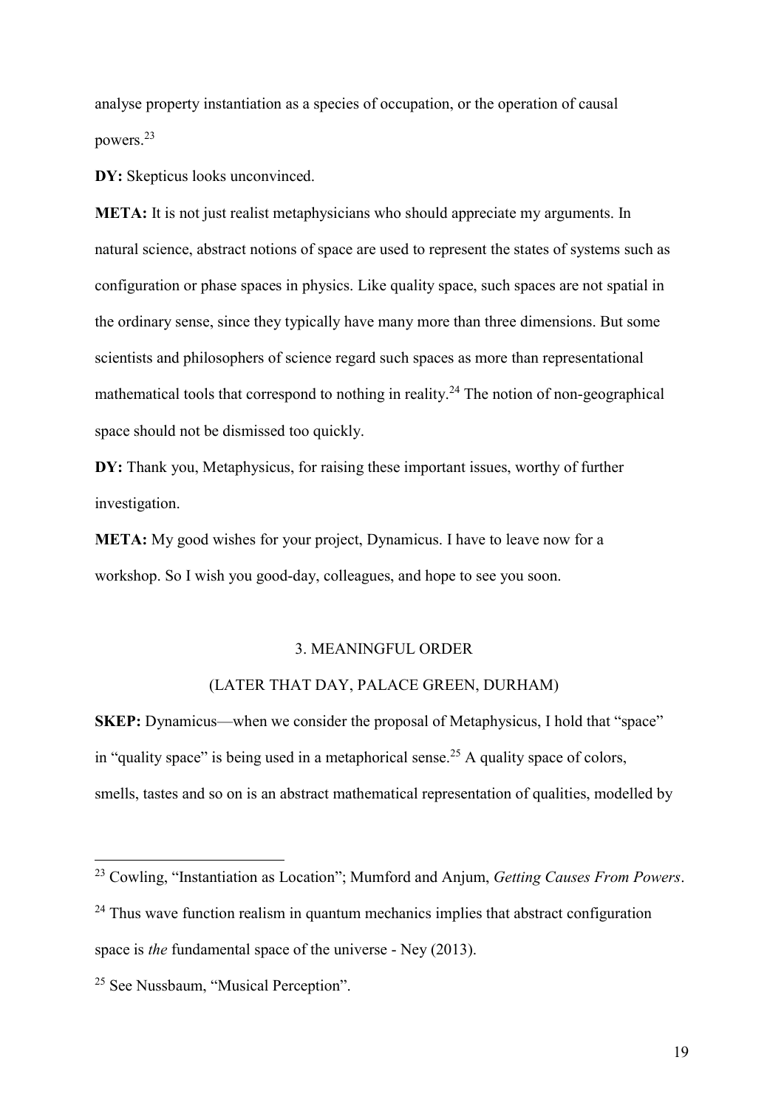analyse property instantiation as a species of occupation, or the operation of causal powers.<sup>23</sup>

DY: Skepticus looks unconvinced.

META: It is not just realist metaphysicians who should appreciate my arguments. In natural science, abstract notions of space are used to represent the states of systems such as configuration or phase spaces in physics. Like quality space, such spaces are not spatial in the ordinary sense, since they typically have many more than three dimensions. But some scientists and philosophers of science regard such spaces as more than representational mathematical tools that correspond to nothing in reality.<sup>24</sup> The notion of non-geographical space should not be dismissed too quickly.

DY: Thank you, Metaphysicus, for raising these important issues, worthy of further investigation.

META: My good wishes for your project, Dynamicus. I have to leave now for a workshop. So I wish you good-day, colleagues, and hope to see you soon.

# 3. MEANINGFUL ORDER

# (LATER THAT DAY, PALACE GREEN, DURHAM)

SKEP: Dynamicus—when we consider the proposal of Metaphysicus, I hold that "space" in "quality space" is being used in a metaphorical sense.<sup>25</sup> A quality space of colors, smells, tastes and so on is an abstract mathematical representation of qualities, modelled by

 $^{23}$  Cowling, "Instantiation as Location"; Mumford and Anjum, Getting Causes From Powers.

 $24$  Thus wave function realism in quantum mechanics implies that abstract configuration space is *the* fundamental space of the universe - Ney (2013).

<sup>&</sup>lt;sup>25</sup> See Nussbaum, "Musical Perception".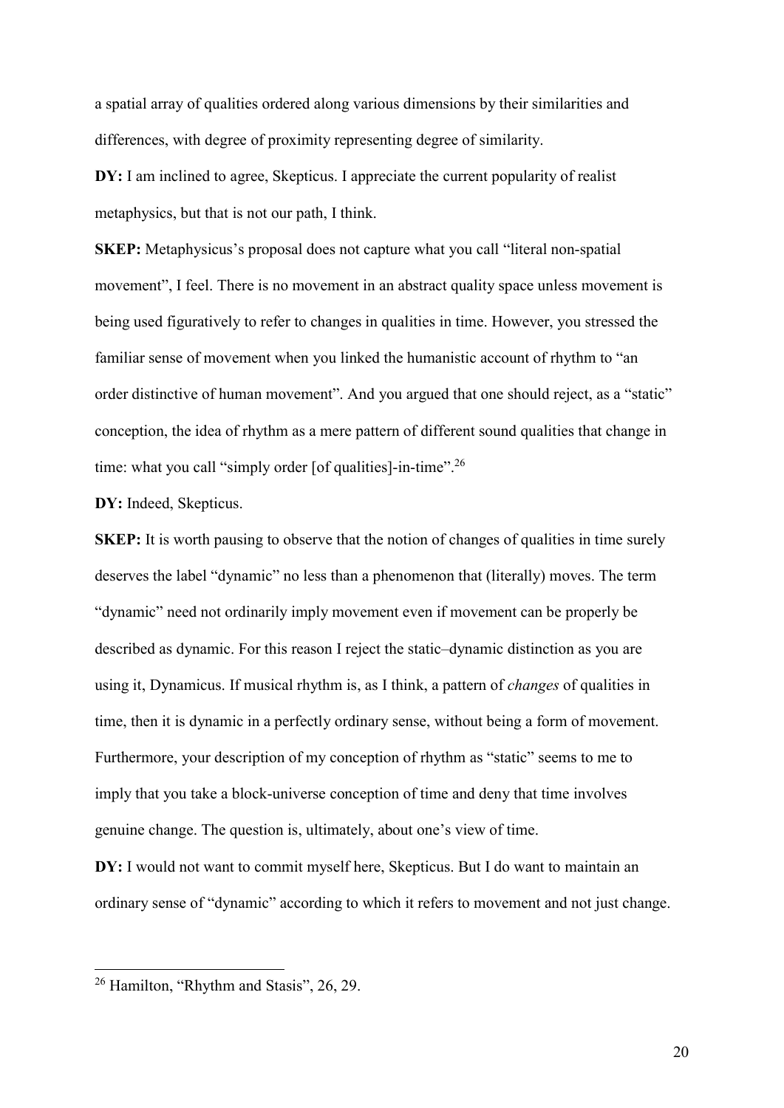a spatial array of qualities ordered along various dimensions by their similarities and differences, with degree of proximity representing degree of similarity.

DY: I am inclined to agree, Skepticus. I appreciate the current popularity of realist metaphysics, but that is not our path, I think.

SKEP: Metaphysicus's proposal does not capture what you call "literal non-spatial movement", I feel. There is no movement in an abstract quality space unless movement is being used figuratively to refer to changes in qualities in time. However, you stressed the familiar sense of movement when you linked the humanistic account of rhythm to "an order distinctive of human movement". And you argued that one should reject, as a "static" conception, the idea of rhythm as a mere pattern of different sound qualities that change in time: what you call "simply order [of qualities]-in-time"<sup>26</sup>

DY: Indeed, Skepticus.

SKEP: It is worth pausing to observe that the notion of changes of qualities in time surely deserves the label "dynamic" no less than a phenomenon that (literally) moves. The term "dynamic" need not ordinarily imply movement even if movement can be properly be described as dynamic. For this reason I reject the static–dynamic distinction as you are using it, Dynamicus. If musical rhythm is, as I think, a pattern of changes of qualities in time, then it is dynamic in a perfectly ordinary sense, without being a form of movement. Furthermore, your description of my conception of rhythm as "static" seems to me to imply that you take a block-universe conception of time and deny that time involves genuine change. The question is, ultimately, about one's view of time.

DY: I would not want to commit myself here, Skepticus. But I do want to maintain an ordinary sense of "dynamic" according to which it refers to movement and not just change.

<sup>&</sup>lt;sup>26</sup> Hamilton, "Rhythm and Stasis", 26, 29.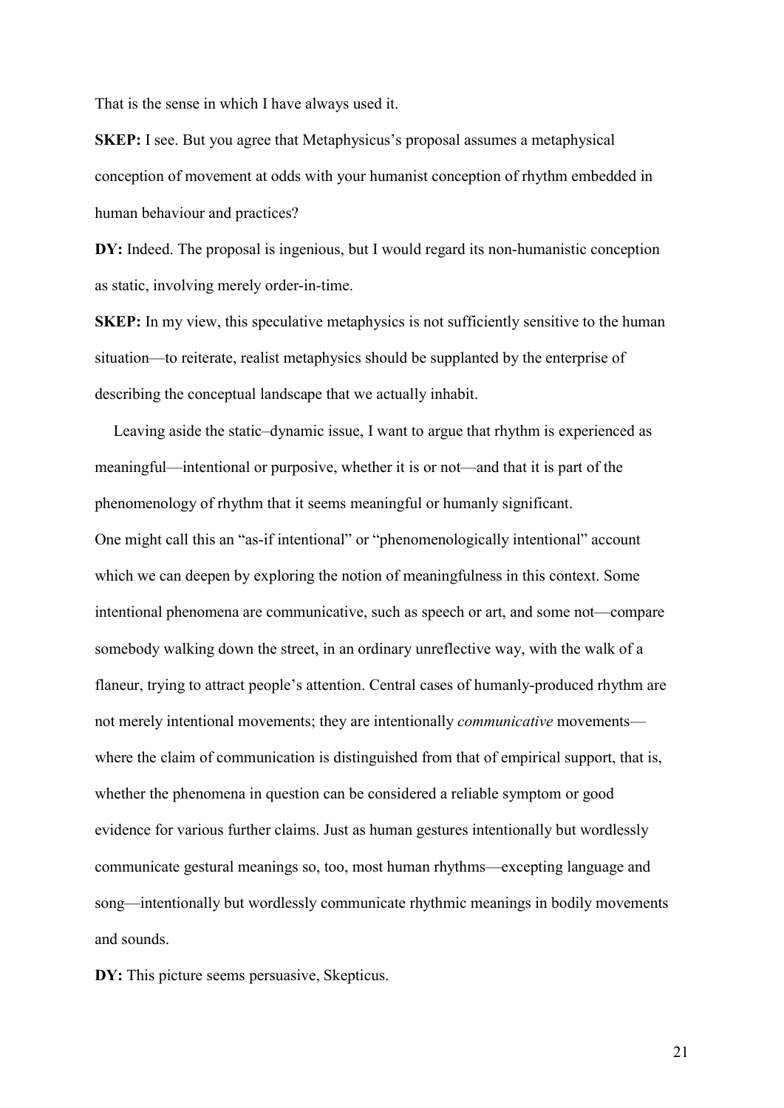That is the sense in which I have always used it.

SKEP: I see. But you agree that Metaphysicus's proposal assumes a metaphysical conception of movement at odds with your humanist conception of rhythm embedded in human behaviour and practices?

DY: Indeed. The proposal is ingenious, but I would regard its non-humanistic conception as static, involving merely order-in-time.

SKEP: In my view, this speculative metaphysics is not sufficiently sensitive to the human situation—to reiterate, realist metaphysics should be supplanted by the enterprise of describing the conceptual landscape that we actually inhabit.

Leaving aside the static–dynamic issue, I want to argue that rhythm is experienced as meaningful—intentional or purposive, whether it is or not—and that it is part of the phenomenology of rhythm that it seems meaningful or humanly significant. One might call this an "as-if intentional" or "phenomenologically intentional" account which we can deepen by exploring the notion of meaningfulness in this context. Some intentional phenomena are communicative, such as speech or art, and some not—compare somebody walking down the street, in an ordinary unreflective way, with the walk of a flaneur, trying to attract people's attention. Central cases of humanly-produced rhythm are not merely intentional movements; they are intentionally communicative movements where the claim of communication is distinguished from that of empirical support, that is, whether the phenomena in question can be considered a reliable symptom or good evidence for various further claims. Just as human gestures intentionally but wordlessly communicate gestural meanings so, too, most human rhythms—excepting language and song—intentionally but wordlessly communicate rhythmic meanings in bodily movements and sounds.

DY: This picture seems persuasive, Skepticus.

21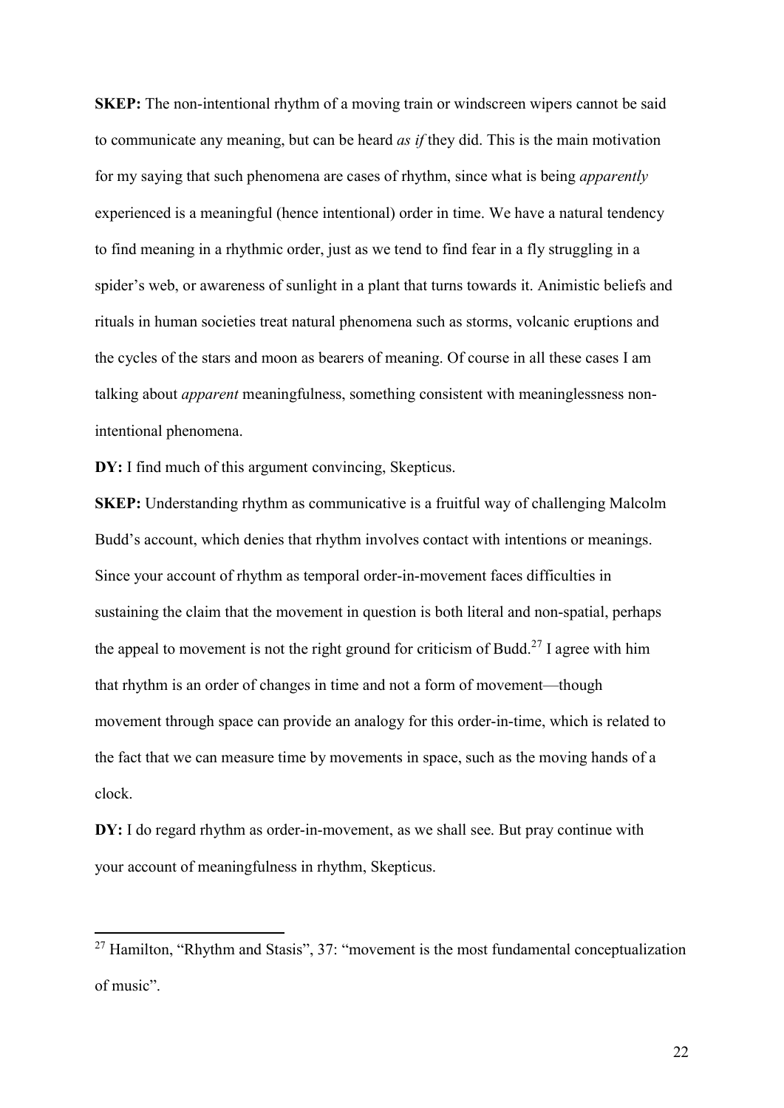SKEP: The non-intentional rhythm of a moving train or windscreen wipers cannot be said to communicate any meaning, but can be heard as if they did. This is the main motivation for my saying that such phenomena are cases of rhythm, since what is being apparently experienced is a meaningful (hence intentional) order in time. We have a natural tendency to find meaning in a rhythmic order, just as we tend to find fear in a fly struggling in a spider's web, or awareness of sunlight in a plant that turns towards it. Animistic beliefs and rituals in human societies treat natural phenomena such as storms, volcanic eruptions and the cycles of the stars and moon as bearers of meaning. Of course in all these cases I am talking about *apparent* meaningfulness, something consistent with meaninglessness nonintentional phenomena.

DY: I find much of this argument convincing, Skepticus.

-

SKEP: Understanding rhythm as communicative is a fruitful way of challenging Malcolm Budd's account, which denies that rhythm involves contact with intentions or meanings. Since your account of rhythm as temporal order-in-movement faces difficulties in sustaining the claim that the movement in question is both literal and non-spatial, perhaps the appeal to movement is not the right ground for criticism of Budd.<sup>27</sup> I agree with him that rhythm is an order of changes in time and not a form of movement—though movement through space can provide an analogy for this order-in-time, which is related to the fact that we can measure time by movements in space, such as the moving hands of a clock.

DY: I do regard rhythm as order-in-movement, as we shall see. But pray continue with your account of meaningfulness in rhythm, Skepticus.

 $27$  Hamilton, "Rhythm and Stasis", 37: "movement is the most fundamental conceptualization of music".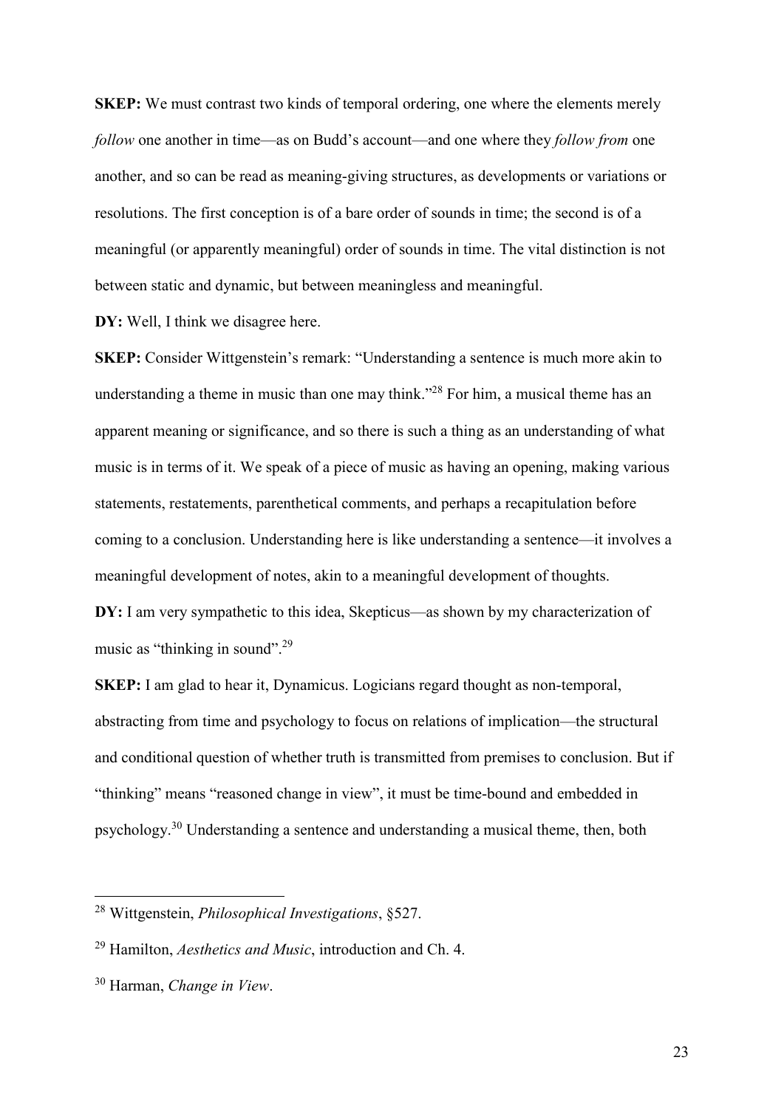SKEP: We must contrast two kinds of temporal ordering, one where the elements merely follow one another in time—as on Budd's account—and one where they follow from one another, and so can be read as meaning-giving structures, as developments or variations or resolutions. The first conception is of a bare order of sounds in time; the second is of a meaningful (or apparently meaningful) order of sounds in time. The vital distinction is not between static and dynamic, but between meaningless and meaningful.

DY: Well, I think we disagree here.

SKEP: Consider Wittgenstein's remark: "Understanding a sentence is much more akin to understanding a theme in music than one may think."<sup>28</sup> For him, a musical theme has an apparent meaning or significance, and so there is such a thing as an understanding of what music is in terms of it. We speak of a piece of music as having an opening, making various statements, restatements, parenthetical comments, and perhaps a recapitulation before coming to a conclusion. Understanding here is like understanding a sentence—it involves a meaningful development of notes, akin to a meaningful development of thoughts.

DY: I am very sympathetic to this idea, Skepticus—as shown by my characterization of music as "thinking in sound".<sup>29</sup>

SKEP: I am glad to hear it, Dynamicus. Logicians regard thought as non-temporal, abstracting from time and psychology to focus on relations of implication—the structural and conditional question of whether truth is transmitted from premises to conclusion. But if "thinking" means "reasoned change in view", it must be time-bound and embedded in psychology.<sup>30</sup> Understanding a sentence and understanding a musical theme, then, both

<sup>&</sup>lt;sup>28</sup> Wittgenstein, *Philosophical Investigations*, §527.

 $^{29}$  Hamilton, *Aesthetics and Music*, introduction and Ch. 4.

<sup>30</sup> Harman, Change in View.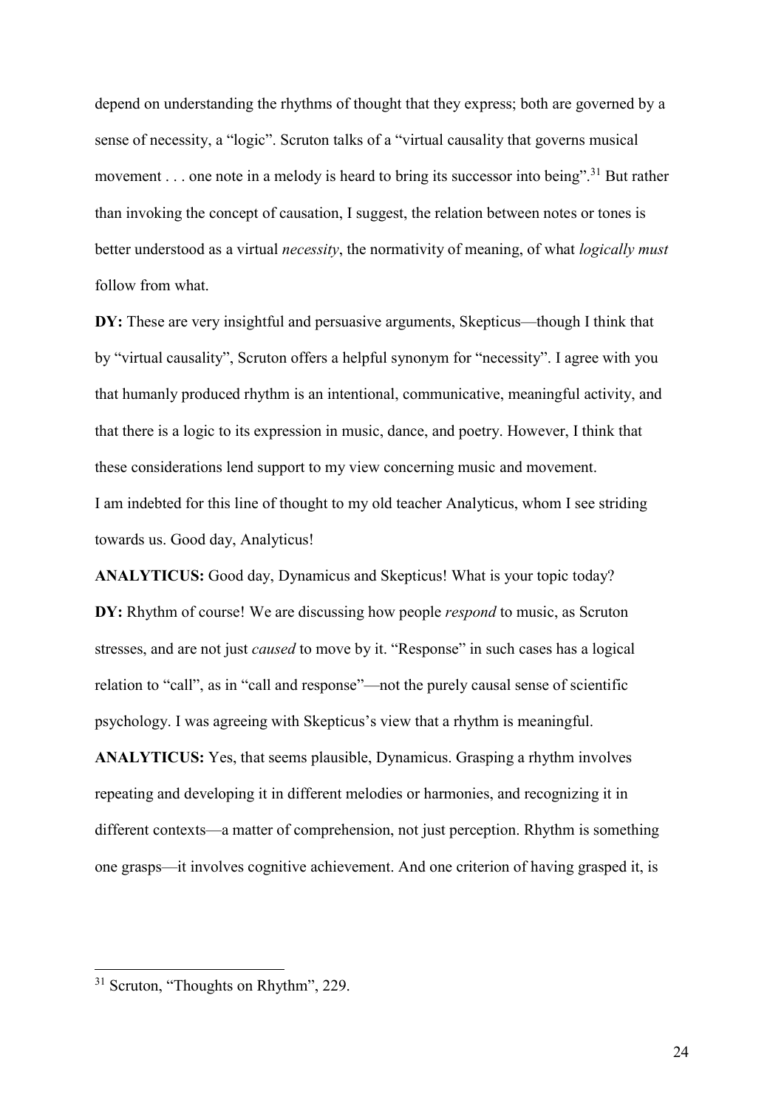depend on understanding the rhythms of thought that they express; both are governed by a sense of necessity, a "logic". Scruton talks of a "virtual causality that governs musical movement . . . one note in a melody is heard to bring its successor into being".<sup>31</sup> But rather than invoking the concept of causation, I suggest, the relation between notes or tones is better understood as a virtual *necessity*, the normativity of meaning, of what *logically must* follow from what.

DY: These are very insightful and persuasive arguments, Skepticus—though I think that by "virtual causality", Scruton offers a helpful synonym for "necessity". I agree with you that humanly produced rhythm is an intentional, communicative, meaningful activity, and that there is a logic to its expression in music, dance, and poetry. However, I think that these considerations lend support to my view concerning music and movement. I am indebted for this line of thought to my old teacher Analyticus, whom I see striding towards us. Good day, Analyticus!

ANALYTICUS: Good day, Dynamicus and Skepticus! What is your topic today? DY: Rhythm of course! We are discussing how people *respond* to music, as Scruton stresses, and are not just *caused* to move by it. "Response" in such cases has a logical relation to "call", as in "call and response"—not the purely causal sense of scientific psychology. I was agreeing with Skepticus's view that a rhythm is meaningful.

ANALYTICUS: Yes, that seems plausible, Dynamicus. Grasping a rhythm involves repeating and developing it in different melodies or harmonies, and recognizing it in different contexts—a matter of comprehension, not just perception. Rhythm is something one grasps—it involves cognitive achievement. And one criterion of having grasped it, is

<sup>&</sup>lt;sup>31</sup> Scruton, "Thoughts on Rhythm", 229.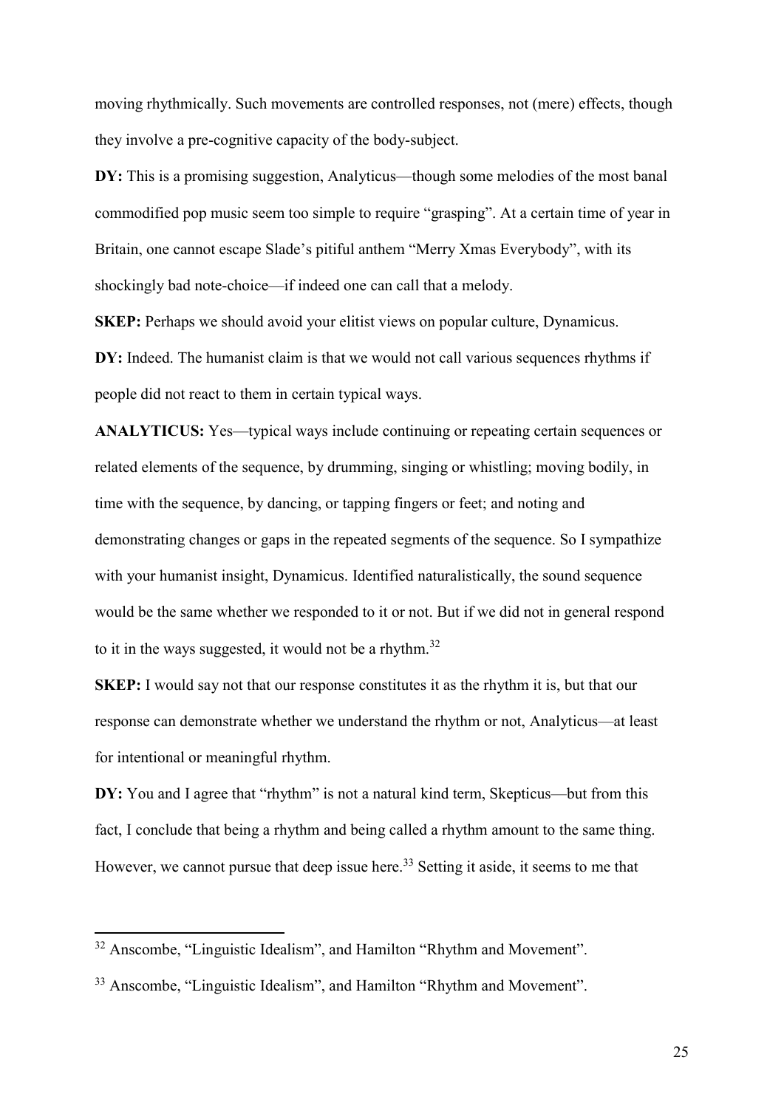moving rhythmically. Such movements are controlled responses, not (mere) effects, though they involve a pre-cognitive capacity of the body-subject.

DY: This is a promising suggestion, Analyticus—though some melodies of the most banal commodified pop music seem too simple to require "grasping". At a certain time of year in Britain, one cannot escape Slade's pitiful anthem "Merry Xmas Everybody", with its shockingly bad note-choice—if indeed one can call that a melody.

SKEP: Perhaps we should avoid your elitist views on popular culture, Dynamicus.

DY: Indeed. The humanist claim is that we would not call various sequences rhythms if people did not react to them in certain typical ways.

ANALYTICUS: Yes—typical ways include continuing or repeating certain sequences or related elements of the sequence, by drumming, singing or whistling; moving bodily, in time with the sequence, by dancing, or tapping fingers or feet; and noting and demonstrating changes or gaps in the repeated segments of the sequence. So I sympathize with your humanist insight, Dynamicus. Identified naturalistically, the sound sequence would be the same whether we responded to it or not. But if we did not in general respond to it in the ways suggested, it would not be a rhythm. $32$ 

SKEP: I would say not that our response constitutes it as the rhythm it is, but that our response can demonstrate whether we understand the rhythm or not, Analyticus—at least for intentional or meaningful rhythm.

DY: You and I agree that "rhythm" is not a natural kind term, Skepticus—but from this fact, I conclude that being a rhythm and being called a rhythm amount to the same thing. However, we cannot pursue that deep issue here.<sup>33</sup> Setting it aside, it seems to me that

 $32$  Anscombe, "Linguistic Idealism", and Hamilton "Rhythm and Movement".

<sup>&</sup>lt;sup>33</sup> Anscombe, "Linguistic Idealism", and Hamilton "Rhythm and Movement".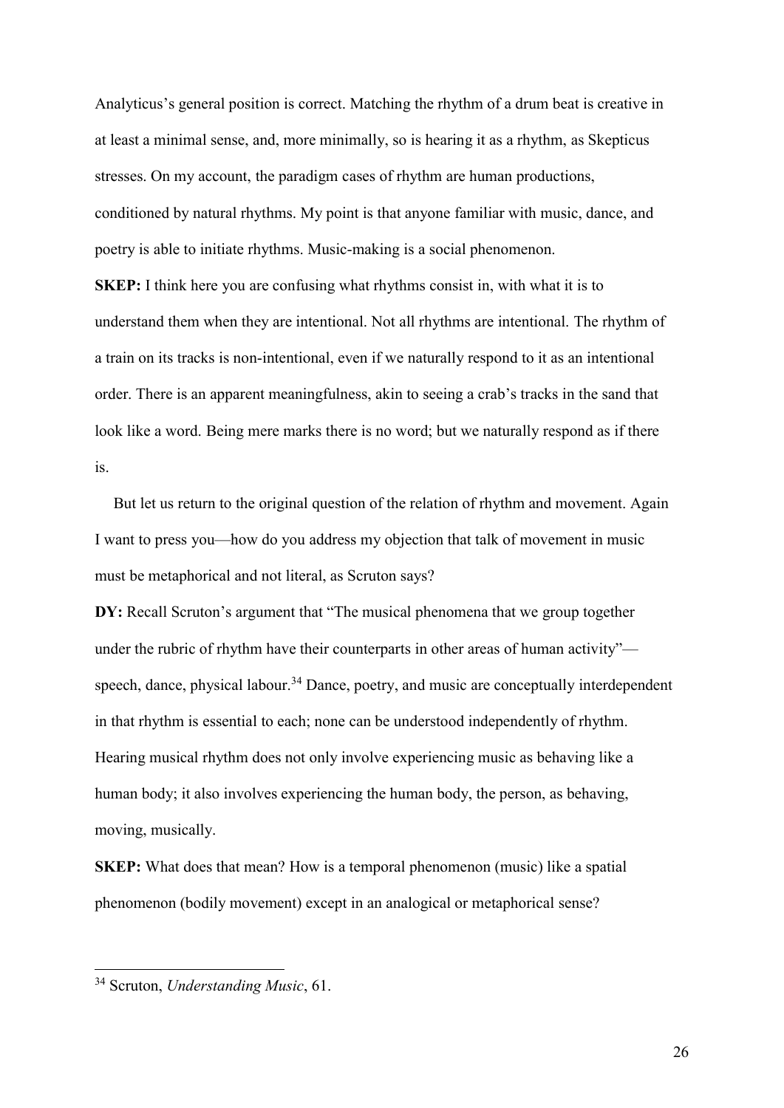Analyticus's general position is correct. Matching the rhythm of a drum beat is creative in at least a minimal sense, and, more minimally, so is hearing it as a rhythm, as Skepticus stresses. On my account, the paradigm cases of rhythm are human productions, conditioned by natural rhythms. My point is that anyone familiar with music, dance, and poetry is able to initiate rhythms. Music-making is a social phenomenon.

SKEP: I think here you are confusing what rhythms consist in, with what it is to understand them when they are intentional. Not all rhythms are intentional. The rhythm of a train on its tracks is non-intentional, even if we naturally respond to it as an intentional order. There is an apparent meaningfulness, akin to seeing a crab's tracks in the sand that look like a word. Being mere marks there is no word; but we naturally respond as if there is.

But let us return to the original question of the relation of rhythm and movement. Again I want to press you—how do you address my objection that talk of movement in music must be metaphorical and not literal, as Scruton says?

DY: Recall Scruton's argument that "The musical phenomena that we group together under the rubric of rhythm have their counterparts in other areas of human activity" speech, dance, physical labour.<sup>34</sup> Dance, poetry, and music are conceptually interdependent in that rhythm is essential to each; none can be understood independently of rhythm. Hearing musical rhythm does not only involve experiencing music as behaving like a human body; it also involves experiencing the human body, the person, as behaving, moving, musically.

SKEP: What does that mean? How is a temporal phenomenon (music) like a spatial phenomenon (bodily movement) except in an analogical or metaphorical sense?

<sup>&</sup>lt;sup>34</sup> Scruton, Understanding Music, 61.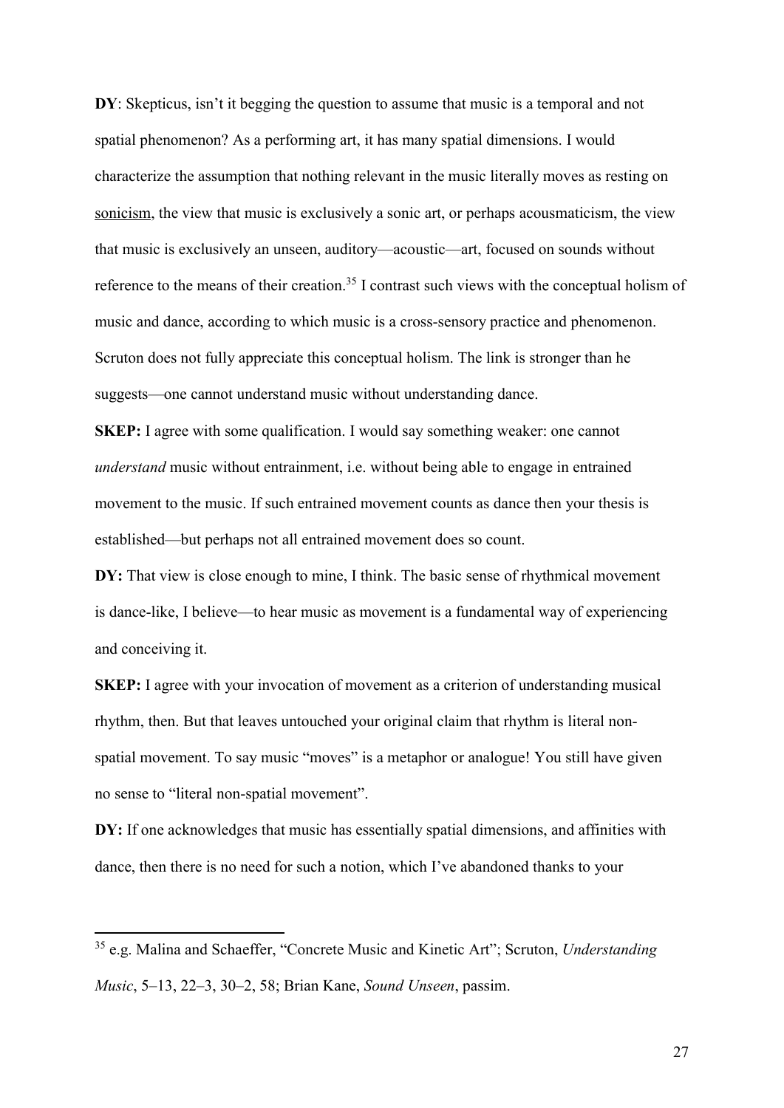DY: Skepticus, isn't it begging the question to assume that music is a temporal and not spatial phenomenon? As a performing art, it has many spatial dimensions. I would characterize the assumption that nothing relevant in the music literally moves as resting on sonicism, the view that music is exclusively a sonic art, or perhaps acousmaticism, the view that music is exclusively an unseen, auditory—acoustic—art, focused on sounds without reference to the means of their creation.<sup>35</sup> I contrast such views with the conceptual holism of music and dance, according to which music is a cross-sensory practice and phenomenon. Scruton does not fully appreciate this conceptual holism. The link is stronger than he suggests—one cannot understand music without understanding dance.

SKEP: I agree with some qualification. I would say something weaker: one cannot understand music without entrainment, i.e. without being able to engage in entrained movement to the music. If such entrained movement counts as dance then your thesis is established—but perhaps not all entrained movement does so count.

DY: That view is close enough to mine, I think. The basic sense of rhythmical movement is dance-like, I believe—to hear music as movement is a fundamental way of experiencing and conceiving it.

SKEP: I agree with your invocation of movement as a criterion of understanding musical rhythm, then. But that leaves untouched your original claim that rhythm is literal nonspatial movement. To say music "moves" is a metaphor or analogue! You still have given no sense to "literal non-spatial movement".

DY: If one acknowledges that music has essentially spatial dimensions, and affinities with dance, then there is no need for such a notion, which I've abandoned thanks to your

 $35$  e.g. Malina and Schaeffer, "Concrete Music and Kinetic Art"; Scruton, Understanding Music, 5–13, 22–3, 30–2, 58; Brian Kane, Sound Unseen, passim.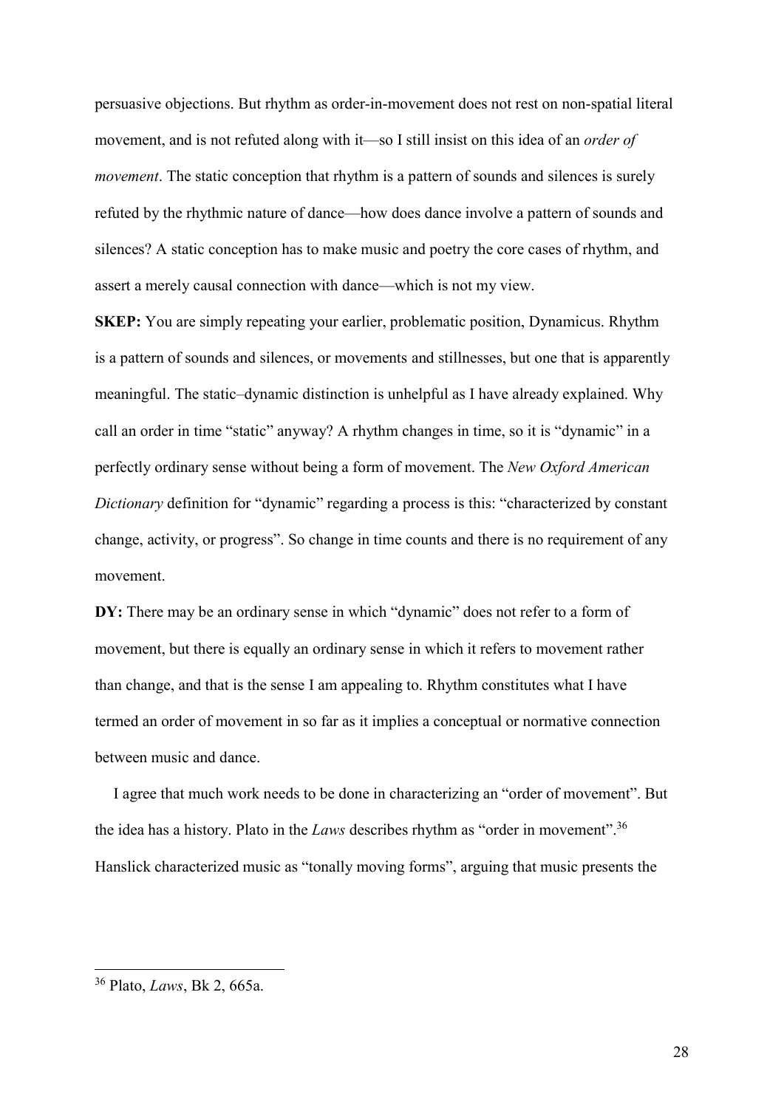persuasive objections. But rhythm as order-in-movement does not rest on non-spatial literal movement, and is not refuted along with it—so I still insist on this idea of an *order of* movement. The static conception that rhythm is a pattern of sounds and silences is surely refuted by the rhythmic nature of dance—how does dance involve a pattern of sounds and silences? A static conception has to make music and poetry the core cases of rhythm, and assert a merely causal connection with dance—which is not my view.

SKEP: You are simply repeating your earlier, problematic position, Dynamicus. Rhythm is a pattern of sounds and silences, or movements and stillnesses, but one that is apparently meaningful. The static–dynamic distinction is unhelpful as I have already explained. Why call an order in time "static" anyway? A rhythm changes in time, so it is "dynamic" in a perfectly ordinary sense without being a form of movement. The New Oxford American Dictionary definition for "dynamic" regarding a process is this: "characterized by constant change, activity, or progress". So change in time counts and there is no requirement of any movement.

DY: There may be an ordinary sense in which "dynamic" does not refer to a form of movement, but there is equally an ordinary sense in which it refers to movement rather than change, and that is the sense I am appealing to. Rhythm constitutes what I have termed an order of movement in so far as it implies a conceptual or normative connection between music and dance.

I agree that much work needs to be done in characterizing an "order of movement". But the idea has a history. Plato in the Laws describes rhythm as "order in movement".<sup>36</sup> Hanslick characterized music as "tonally moving forms", arguing that music presents the

<sup>36</sup> Plato, Laws, Bk 2, 665a.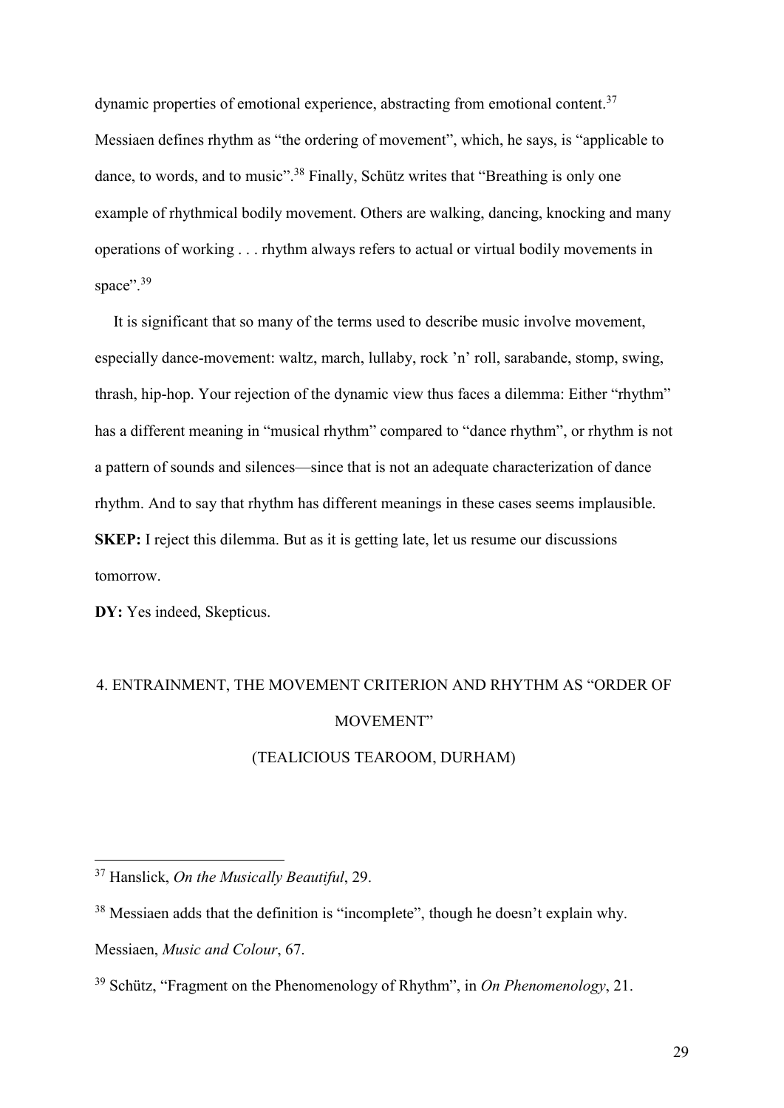dynamic properties of emotional experience, abstracting from emotional content.<sup>37</sup> Messiaen defines rhythm as "the ordering of movement", which, he says, is "applicable to dance, to words, and to music".<sup>38</sup> Finally, Schütz writes that "Breathing is only one example of rhythmical bodily movement. Others are walking, dancing, knocking and many operations of working . . . rhythm always refers to actual or virtual bodily movements in space".<sup>39</sup>

It is significant that so many of the terms used to describe music involve movement, especially dance-movement: waltz, march, lullaby, rock 'n' roll, sarabande, stomp, swing, thrash, hip-hop. Your rejection of the dynamic view thus faces a dilemma: Either "rhythm" has a different meaning in "musical rhythm" compared to "dance rhythm", or rhythm is not a pattern of sounds and silences—since that is not an adequate characterization of dance rhythm. And to say that rhythm has different meanings in these cases seems implausible. SKEP: I reject this dilemma. But as it is getting late, let us resume our discussions tomorrow.

DY: Yes indeed, Skepticus.

# 4. ENTRAINMENT, THE MOVEMENT CRITERION AND RHYTHM AS "ORDER OF MOVEMENT"

# (TEALICIOUS TEAROOM, DURHAM)

 $37$  Hanslick, On the Musically Beautiful, 29.

<sup>&</sup>lt;sup>38</sup> Messiaen adds that the definition is "incomplete", though he doesn't explain why.

Messiaen, Music and Colour, 67.

<sup>&</sup>lt;sup>39</sup> Schütz, "Fragment on the Phenomenology of Rhythm", in On Phenomenology, 21.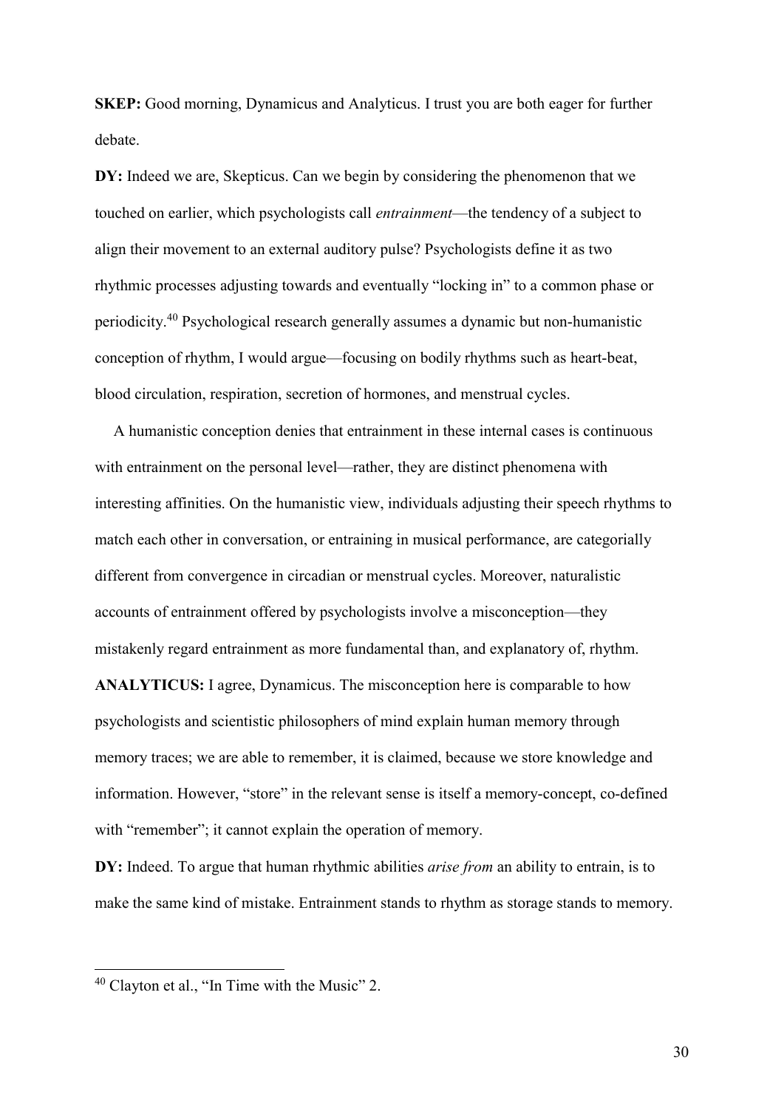SKEP: Good morning, Dynamicus and Analyticus. I trust you are both eager for further debate.

DY: Indeed we are, Skepticus. Can we begin by considering the phenomenon that we touched on earlier, which psychologists call entrainment—the tendency of a subject to align their movement to an external auditory pulse? Psychologists define it as two rhythmic processes adjusting towards and eventually "locking in" to a common phase or periodicity.<sup>40</sup> Psychological research generally assumes a dynamic but non-humanistic conception of rhythm, I would argue—focusing on bodily rhythms such as heart-beat, blood circulation, respiration, secretion of hormones, and menstrual cycles.

A humanistic conception denies that entrainment in these internal cases is continuous with entrainment on the personal level—rather, they are distinct phenomena with interesting affinities. On the humanistic view, individuals adjusting their speech rhythms to match each other in conversation, or entraining in musical performance, are categorially different from convergence in circadian or menstrual cycles. Moreover, naturalistic accounts of entrainment offered by psychologists involve a misconception—they mistakenly regard entrainment as more fundamental than, and explanatory of, rhythm.

ANALYTICUS: I agree, Dynamicus. The misconception here is comparable to how psychologists and scientistic philosophers of mind explain human memory through memory traces; we are able to remember, it is claimed, because we store knowledge and information. However, "store" in the relevant sense is itself a memory-concept, co-defined with "remember"; it cannot explain the operation of memory.

DY: Indeed. To argue that human rhythmic abilities *arise from* an ability to entrain, is to make the same kind of mistake. Entrainment stands to rhythm as storage stands to memory.

 $40$  Clayton et al., "In Time with the Music" 2.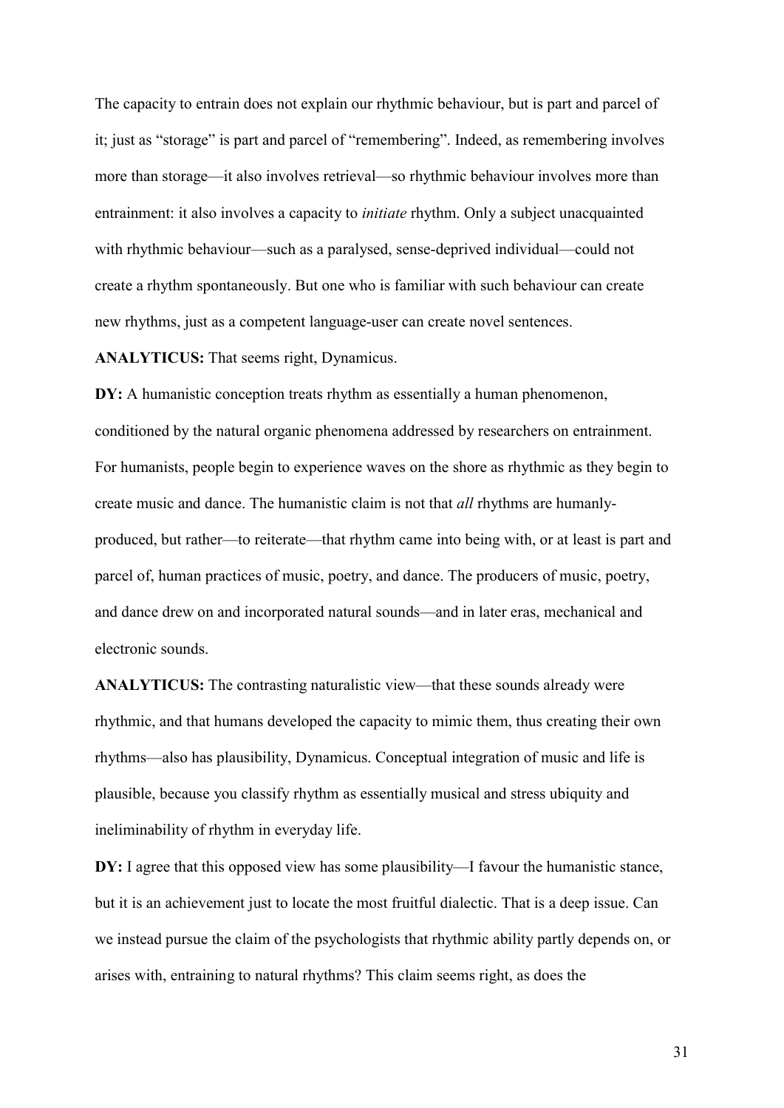The capacity to entrain does not explain our rhythmic behaviour, but is part and parcel of it; just as "storage" is part and parcel of "remembering". Indeed, as remembering involves more than storage—it also involves retrieval—so rhythmic behaviour involves more than entrainment: it also involves a capacity to initiate rhythm. Only a subject unacquainted with rhythmic behaviour—such as a paralysed, sense-deprived individual—could not create a rhythm spontaneously. But one who is familiar with such behaviour can create new rhythms, just as a competent language-user can create novel sentences.

ANALYTICUS: That seems right, Dynamicus.

DY: A humanistic conception treats rhythm as essentially a human phenomenon, conditioned by the natural organic phenomena addressed by researchers on entrainment. For humanists, people begin to experience waves on the shore as rhythmic as they begin to create music and dance. The humanistic claim is not that all rhythms are humanlyproduced, but rather—to reiterate—that rhythm came into being with, or at least is part and parcel of, human practices of music, poetry, and dance. The producers of music, poetry, and dance drew on and incorporated natural sounds—and in later eras, mechanical and electronic sounds.

ANALYTICUS: The contrasting naturalistic view—that these sounds already were rhythmic, and that humans developed the capacity to mimic them, thus creating their own rhythms—also has plausibility, Dynamicus. Conceptual integration of music and life is plausible, because you classify rhythm as essentially musical and stress ubiquity and ineliminability of rhythm in everyday life.

DY: I agree that this opposed view has some plausibility—I favour the humanistic stance, but it is an achievement just to locate the most fruitful dialectic. That is a deep issue. Can we instead pursue the claim of the psychologists that rhythmic ability partly depends on, or arises with, entraining to natural rhythms? This claim seems right, as does the

31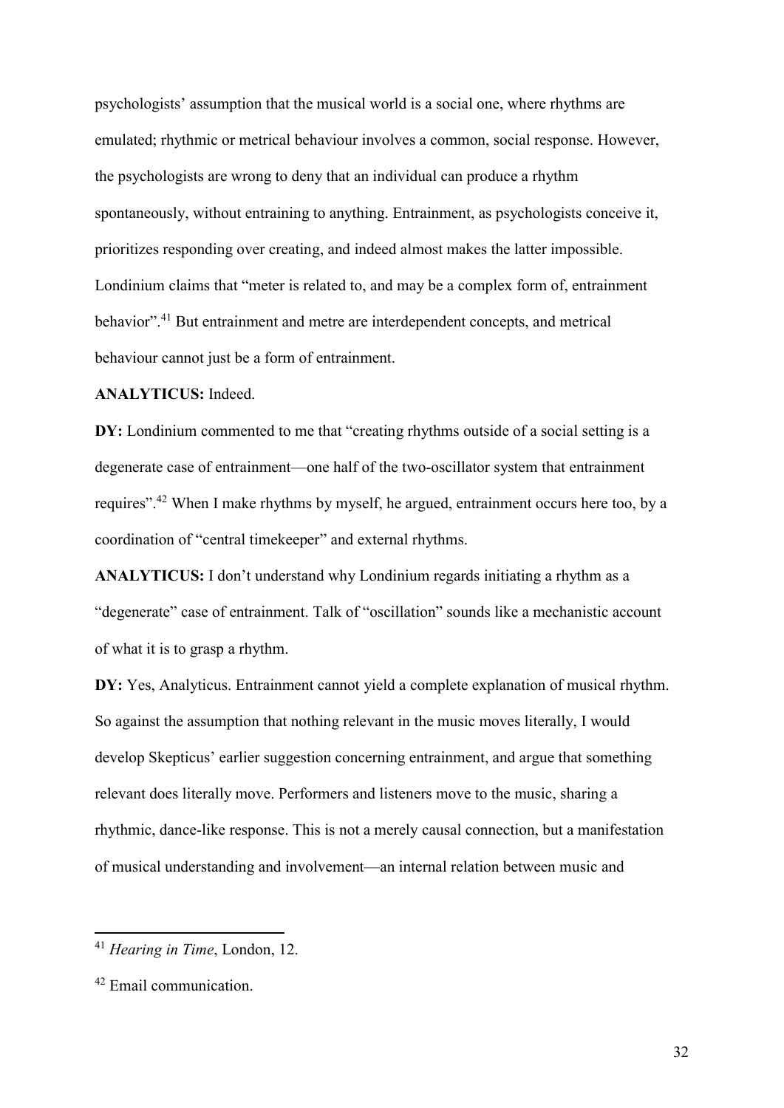psychologists' assumption that the musical world is a social one, where rhythms are emulated; rhythmic or metrical behaviour involves a common, social response. However, the psychologists are wrong to deny that an individual can produce a rhythm spontaneously, without entraining to anything. Entrainment, as psychologists conceive it, prioritizes responding over creating, and indeed almost makes the latter impossible. Londinium claims that "meter is related to, and may be a complex form of, entrainment behavior".<sup>41</sup> But entrainment and metre are interdependent concepts, and metrical behaviour cannot just be a form of entrainment.

### ANALYTICUS: Indeed.

DY: Londinium commented to me that "creating rhythms outside of a social setting is a degenerate case of entrainment—one half of the two-oscillator system that entrainment requires".<sup>42</sup> When I make rhythms by myself, he argued, entrainment occurs here too, by a coordination of "central timekeeper" and external rhythms.

ANALYTICUS: I don't understand why Londinium regards initiating a rhythm as a "degenerate" case of entrainment. Talk of "oscillation" sounds like a mechanistic account of what it is to grasp a rhythm.

DY: Yes, Analyticus. Entrainment cannot yield a complete explanation of musical rhythm. So against the assumption that nothing relevant in the music moves literally, I would develop Skepticus' earlier suggestion concerning entrainment, and argue that something relevant does literally move. Performers and listeners move to the music, sharing a rhythmic, dance-like response. This is not a merely causal connection, but a manifestation of musical understanding and involvement—an internal relation between music and

<sup>&</sup>lt;sup>41</sup> Hearing in Time, London, 12.

<sup>42</sup> Email communication.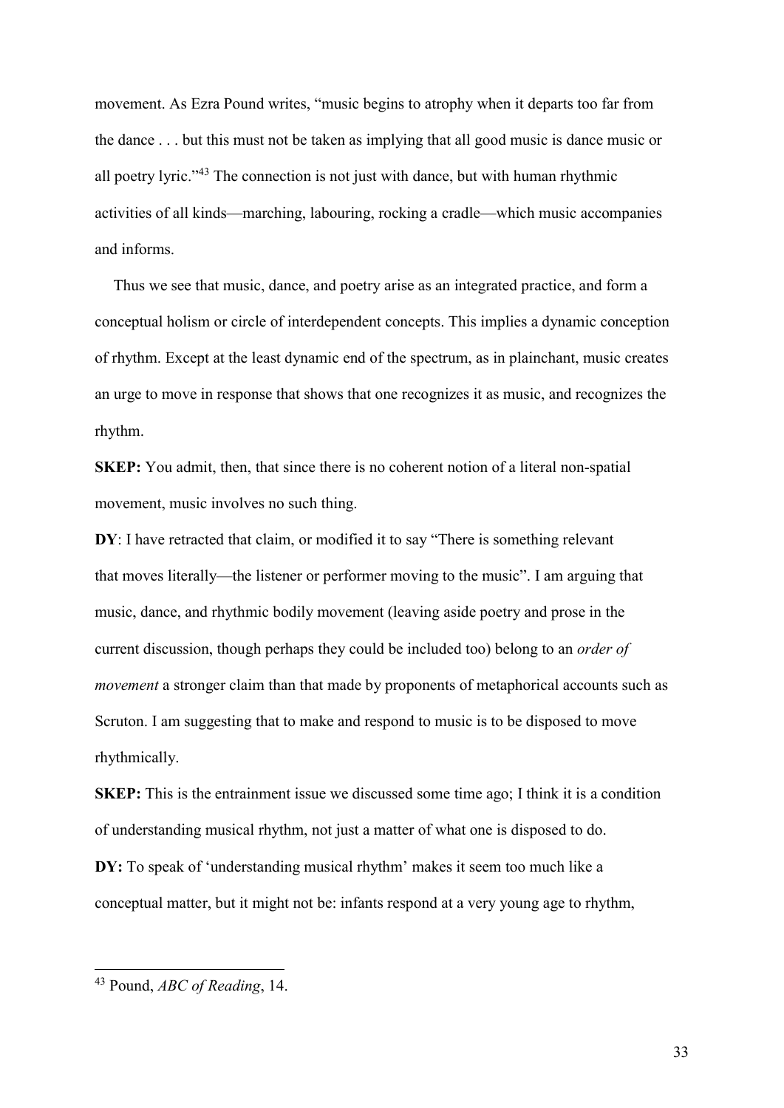movement. As Ezra Pound writes, "music begins to atrophy when it departs too far from the dance . . . but this must not be taken as implying that all good music is dance music or all poetry lyric."<sup>43</sup> The connection is not just with dance, but with human rhythmic activities of all kinds—marching, labouring, rocking a cradle—which music accompanies and informs.

Thus we see that music, dance, and poetry arise as an integrated practice, and form a conceptual holism or circle of interdependent concepts. This implies a dynamic conception of rhythm. Except at the least dynamic end of the spectrum, as in plainchant, music creates an urge to move in response that shows that one recognizes it as music, and recognizes the rhythm.

SKEP: You admit, then, that since there is no coherent notion of a literal non-spatial movement, music involves no such thing.

DY: I have retracted that claim, or modified it to say "There is something relevant that moves literally—the listener or performer moving to the music". I am arguing that music, dance, and rhythmic bodily movement (leaving aside poetry and prose in the current discussion, though perhaps they could be included too) belong to an order of movement a stronger claim than that made by proponents of metaphorical accounts such as Scruton. I am suggesting that to make and respond to music is to be disposed to move rhythmically.

SKEP: This is the entrainment issue we discussed some time ago; I think it is a condition of understanding musical rhythm, not just a matter of what one is disposed to do. DY: To speak of 'understanding musical rhythm' makes it seem too much like a conceptual matter, but it might not be: infants respond at a very young age to rhythm,

 $43$  Pound, ABC of Reading, 14.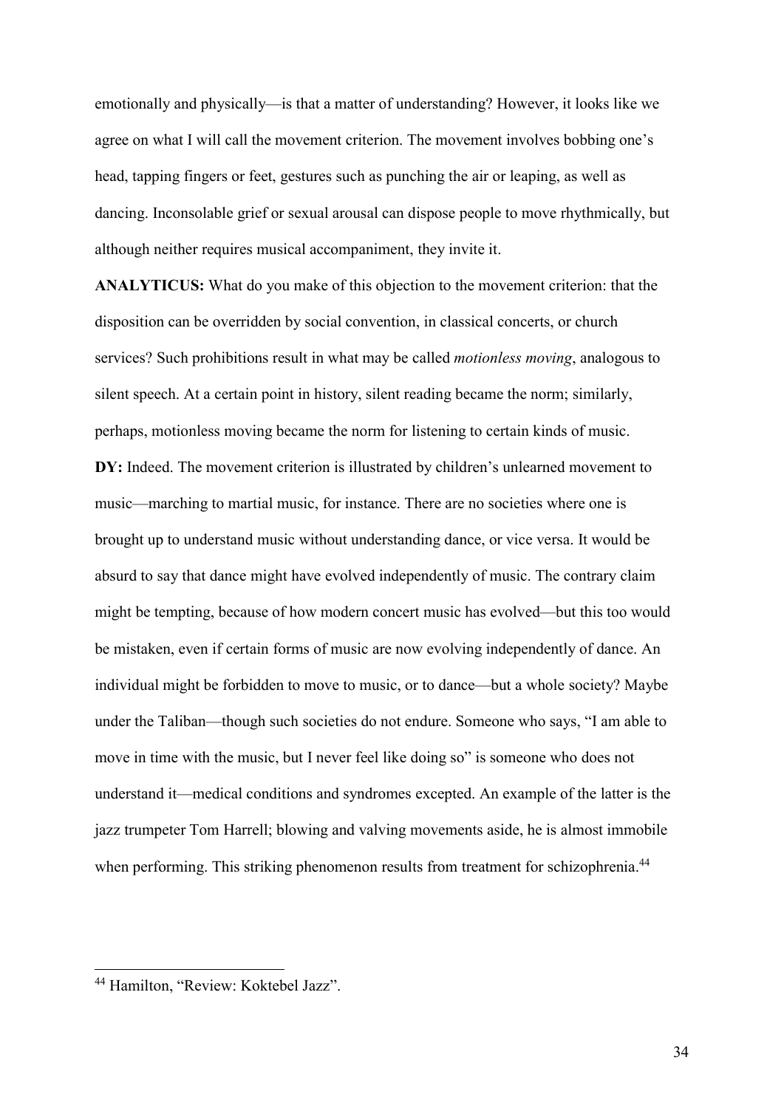emotionally and physically—is that a matter of understanding? However, it looks like we agree on what I will call the movement criterion. The movement involves bobbing one's head, tapping fingers or feet, gestures such as punching the air or leaping, as well as dancing. Inconsolable grief or sexual arousal can dispose people to move rhythmically, but although neither requires musical accompaniment, they invite it.

ANALYTICUS: What do you make of this objection to the movement criterion: that the disposition can be overridden by social convention, in classical concerts, or church services? Such prohibitions result in what may be called motionless moving, analogous to silent speech. At a certain point in history, silent reading became the norm; similarly, perhaps, motionless moving became the norm for listening to certain kinds of music. DY: Indeed. The movement criterion is illustrated by children's unlearned movement to music—marching to martial music, for instance. There are no societies where one is brought up to understand music without understanding dance, or vice versa. It would be absurd to say that dance might have evolved independently of music. The contrary claim might be tempting, because of how modern concert music has evolved—but this too would be mistaken, even if certain forms of music are now evolving independently of dance. An individual might be forbidden to move to music, or to dance—but a whole society? Maybe under the Taliban—though such societies do not endure. Someone who says, "I am able to move in time with the music, but I never feel like doing so" is someone who does not understand it—medical conditions and syndromes excepted. An example of the latter is the jazz trumpeter Tom Harrell; blowing and valving movements aside, he is almost immobile when performing. This striking phenomenon results from treatment for schizophrenia.<sup>44</sup>

<sup>44</sup> Hamilton, "Review: Koktebel Jazz".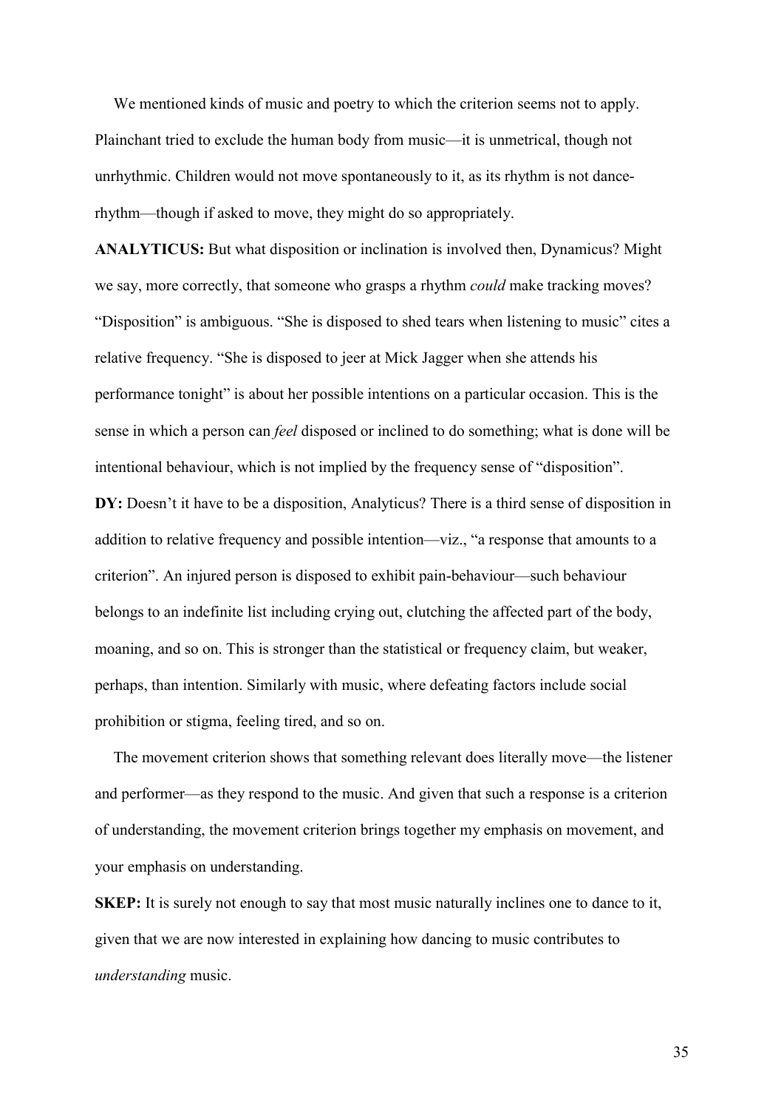We mentioned kinds of music and poetry to which the criterion seems not to apply. Plainchant tried to exclude the human body from music—it is unmetrical, though not unrhythmic. Children would not move spontaneously to it, as its rhythm is not dancerhythm—though if asked to move, they might do so appropriately.

ANALYTICUS: But what disposition or inclination is involved then, Dynamicus? Might we say, more correctly, that someone who grasps a rhythm could make tracking moves? "Disposition" is ambiguous. "She is disposed to shed tears when listening to music" cites a relative frequency. "She is disposed to jeer at Mick Jagger when she attends his performance tonight" is about her possible intentions on a particular occasion. This is the sense in which a person can feel disposed or inclined to do something; what is done will be intentional behaviour, which is not implied by the frequency sense of "disposition".

DY: Doesn't it have to be a disposition, Analyticus? There is a third sense of disposition in addition to relative frequency and possible intention—viz., "a response that amounts to a criterion". An injured person is disposed to exhibit pain-behaviour—such behaviour belongs to an indefinite list including crying out, clutching the affected part of the body, moaning, and so on. This is stronger than the statistical or frequency claim, but weaker, perhaps, than intention. Similarly with music, where defeating factors include social prohibition or stigma, feeling tired, and so on.

The movement criterion shows that something relevant does literally move—the listener and performer—as they respond to the music. And given that such a response is a criterion of understanding, the movement criterion brings together my emphasis on movement, and your emphasis on understanding.

SKEP: It is surely not enough to say that most music naturally inclines one to dance to it, given that we are now interested in explaining how dancing to music contributes to understanding music.

35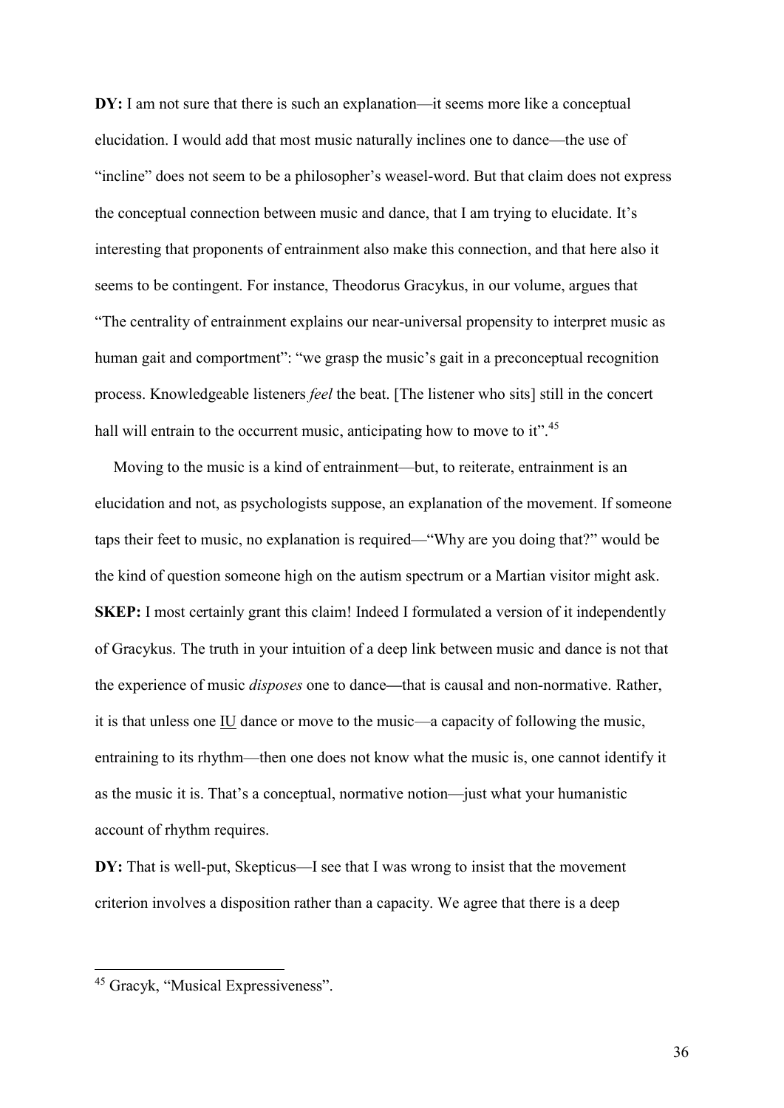DY: I am not sure that there is such an explanation—it seems more like a conceptual elucidation. I would add that most music naturally inclines one to dance—the use of "incline" does not seem to be a philosopher's weasel-word. But that claim does not express the conceptual connection between music and dance, that I am trying to elucidate. It's interesting that proponents of entrainment also make this connection, and that here also it seems to be contingent. For instance, Theodorus Gracykus, in our volume, argues that "The centrality of entrainment explains our near-universal propensity to interpret music as human gait and comportment": "we grasp the music's gait in a preconceptual recognition process. Knowledgeable listeners feel the beat. [The listener who sits] still in the concert hall will entrain to the occurrent music, anticipating how to move to it".<sup>45</sup>

Moving to the music is a kind of entrainment—but, to reiterate, entrainment is an elucidation and not, as psychologists suppose, an explanation of the movement. If someone taps their feet to music, no explanation is required—"Why are you doing that?" would be the kind of question someone high on the autism spectrum or a Martian visitor might ask. SKEP: I most certainly grant this claim! Indeed I formulated a version of it independently of Gracykus. The truth in your intuition of a deep link between music and dance is not that the experience of music disposes one to dance—that is causal and non-normative. Rather, it is that unless one IU dance or move to the music—a capacity of following the music, entraining to its rhythm—then one does not know what the music is, one cannot identify it as the music it is. That's a conceptual, normative notion—just what your humanistic account of rhythm requires.

DY: That is well-put, Skepticus—I see that I was wrong to insist that the movement criterion involves a disposition rather than a capacity. We agree that there is a deep

<sup>45</sup> Gracyk, "Musical Expressiveness".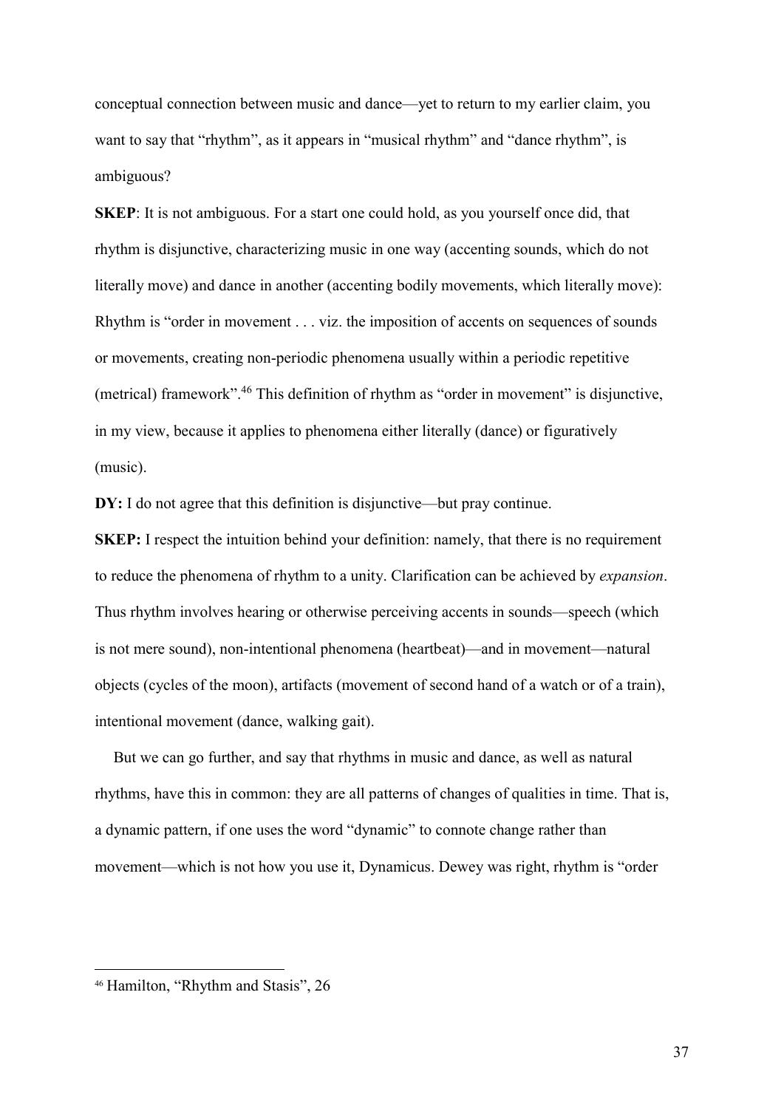conceptual connection between music and dance—yet to return to my earlier claim, you want to say that "rhythm", as it appears in "musical rhythm" and "dance rhythm", is ambiguous?

SKEP: It is not ambiguous. For a start one could hold, as you yourself once did, that rhythm is disjunctive, characterizing music in one way (accenting sounds, which do not literally move) and dance in another (accenting bodily movements, which literally move): Rhythm is "order in movement . . . viz. the imposition of accents on sequences of sounds or movements, creating non-periodic phenomena usually within a periodic repetitive (metrical) framework".<sup>46</sup> This definition of rhythm as "order in movement" is disjunctive, in my view, because it applies to phenomena either literally (dance) or figuratively (music).

DY: I do not agree that this definition is disjunctive—but pray continue.

SKEP: I respect the intuition behind your definition: namely, that there is no requirement to reduce the phenomena of rhythm to a unity. Clarification can be achieved by expansion. Thus rhythm involves hearing or otherwise perceiving accents in sounds—speech (which is not mere sound), non-intentional phenomena (heartbeat)—and in movement—natural objects (cycles of the moon), artifacts (movement of second hand of a watch or of a train), intentional movement (dance, walking gait).

But we can go further, and say that rhythms in music and dance, as well as natural rhythms, have this in common: they are all patterns of changes of qualities in time. That is, a dynamic pattern, if one uses the word "dynamic" to connote change rather than movement—which is not how you use it, Dynamicus. Dewey was right, rhythm is "order

<sup>46</sup> Hamilton, "Rhythm and Stasis", 26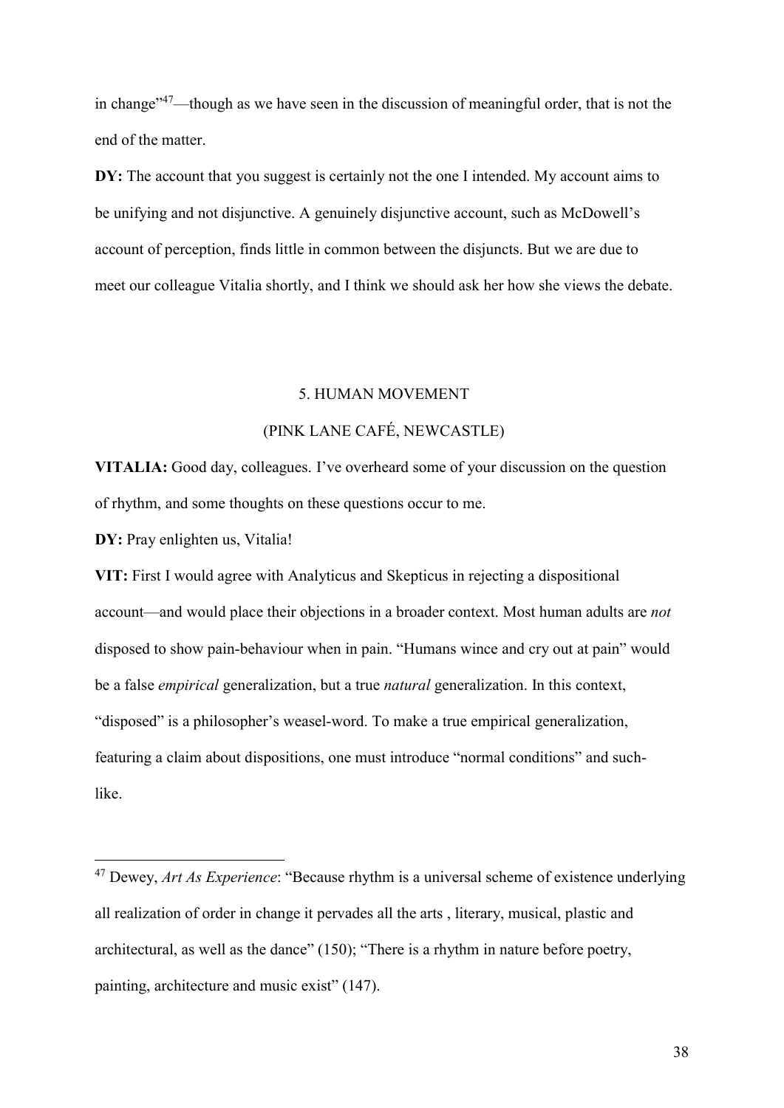in change"<sup>47</sup>—though as we have seen in the discussion of meaningful order, that is not the end of the matter.

DY: The account that you suggest is certainly not the one I intended. My account aims to be unifying and not disjunctive. A genuinely disjunctive account, such as McDowell's account of perception, finds little in common between the disjuncts. But we are due to meet our colleague Vitalia shortly, and I think we should ask her how she views the debate.

### 5. HUMAN MOVEMENT

# (PINK LANE CAFÉ, NEWCASTLE)

VITALIA: Good day, colleagues. I've overheard some of your discussion on the question of rhythm, and some thoughts on these questions occur to me.

DY: Pray enlighten us, Vitalia!

-

VIT: First I would agree with Analyticus and Skepticus in rejecting a dispositional account—and would place their objections in a broader context. Most human adults are not disposed to show pain-behaviour when in pain. "Humans wince and cry out at pain" would be a false *empirical* generalization, but a true *natural* generalization. In this context, "disposed" is a philosopher's weasel-word. To make a true empirical generalization, featuring a claim about dispositions, one must introduce "normal conditions" and suchlike.

 $47$  Dewey, *Art As Experience*: "Because rhythm is a universal scheme of existence underlying all realization of order in change it pervades all the arts , literary, musical, plastic and architectural, as well as the dance" (150); "There is a rhythm in nature before poetry, painting, architecture and music exist" (147).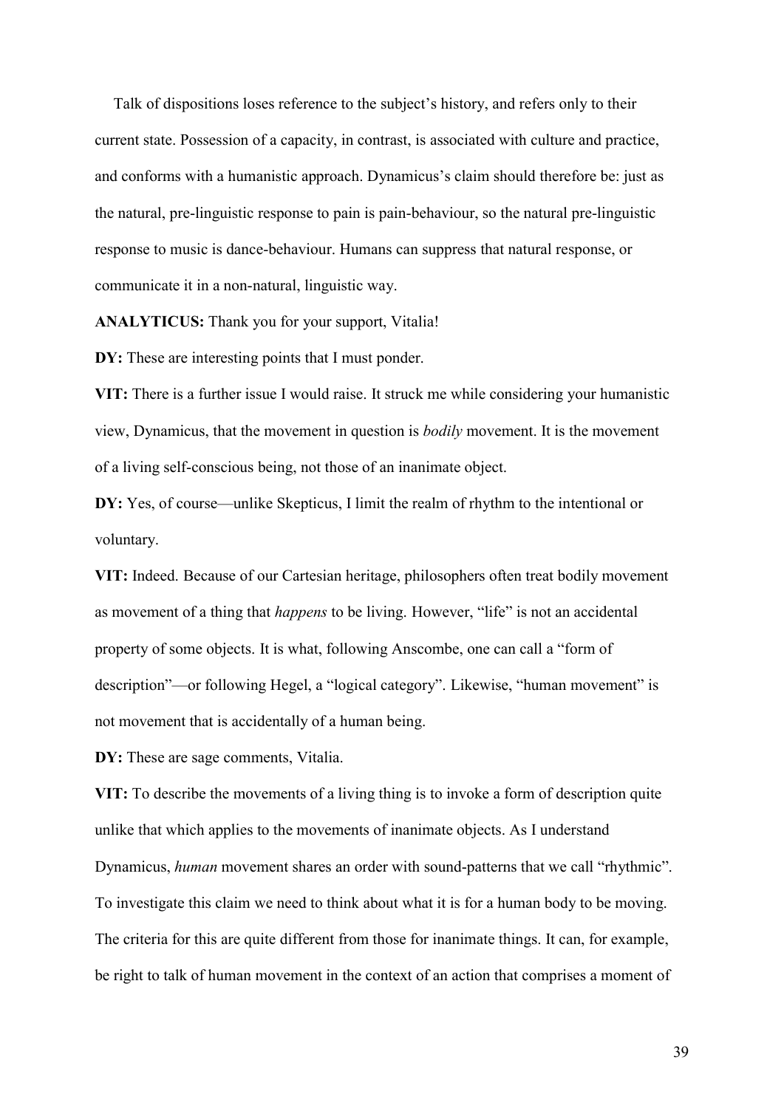Talk of dispositions loses reference to the subject's history, and refers only to their current state. Possession of a capacity, in contrast, is associated with culture and practice, and conforms with a humanistic approach. Dynamicus's claim should therefore be: just as the natural, pre-linguistic response to pain is pain-behaviour, so the natural pre-linguistic response to music is dance-behaviour. Humans can suppress that natural response, or communicate it in a non-natural, linguistic way.

ANALYTICUS: Thank you for your support, Vitalia!

DY: These are interesting points that I must ponder.

VIT: There is a further issue I would raise. It struck me while considering your humanistic view, Dynamicus, that the movement in question is bodily movement. It is the movement of a living self-conscious being, not those of an inanimate object.

DY: Yes, of course—unlike Skepticus, I limit the realm of rhythm to the intentional or voluntary.

VIT: Indeed. Because of our Cartesian heritage, philosophers often treat bodily movement as movement of a thing that happens to be living. However, "life" is not an accidental property of some objects. It is what, following Anscombe, one can call a "form of description"—or following Hegel, a "logical category". Likewise, "human movement" is not movement that is accidentally of a human being.

DY: These are sage comments, Vitalia.

VIT: To describe the movements of a living thing is to invoke a form of description quite unlike that which applies to the movements of inanimate objects. As I understand Dynamicus, human movement shares an order with sound-patterns that we call "rhythmic". To investigate this claim we need to think about what it is for a human body to be moving. The criteria for this are quite different from those for inanimate things. It can, for example, be right to talk of human movement in the context of an action that comprises a moment of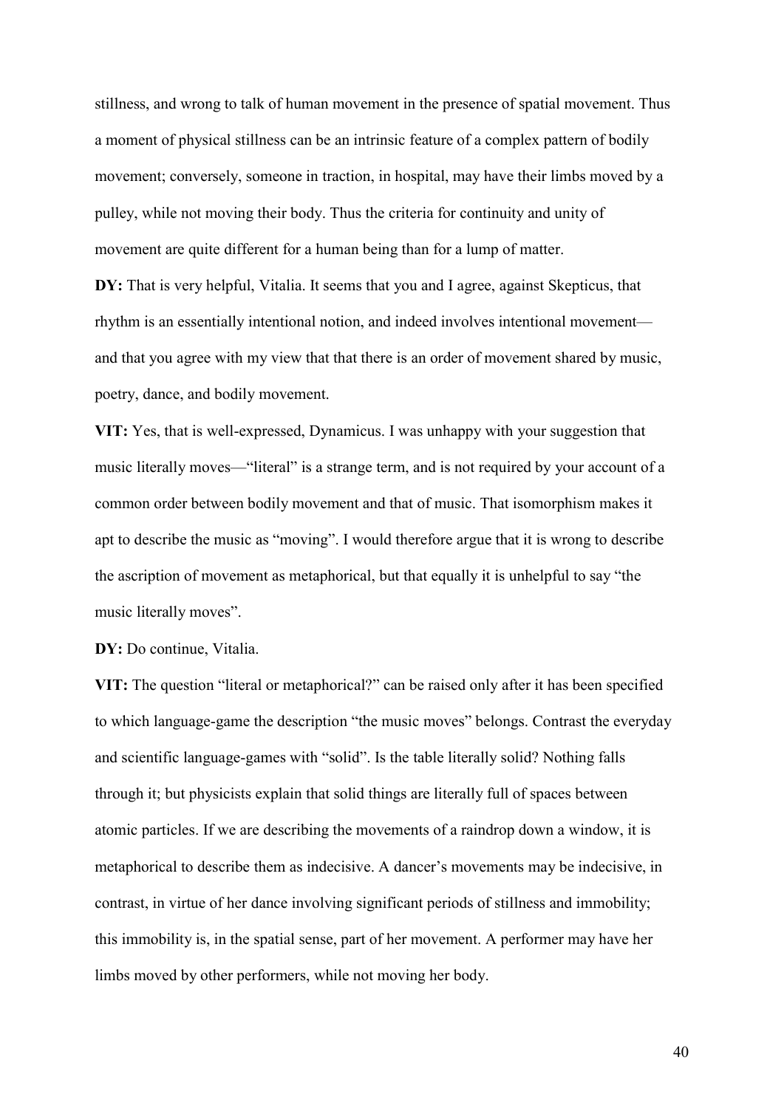stillness, and wrong to talk of human movement in the presence of spatial movement. Thus a moment of physical stillness can be an intrinsic feature of a complex pattern of bodily movement; conversely, someone in traction, in hospital, may have their limbs moved by a pulley, while not moving their body. Thus the criteria for continuity and unity of movement are quite different for a human being than for a lump of matter.

DY: That is very helpful, Vitalia. It seems that you and I agree, against Skepticus, that rhythm is an essentially intentional notion, and indeed involves intentional movement and that you agree with my view that that there is an order of movement shared by music, poetry, dance, and bodily movement.

VIT: Yes, that is well-expressed, Dynamicus. I was unhappy with your suggestion that music literally moves—"literal" is a strange term, and is not required by your account of a common order between bodily movement and that of music. That isomorphism makes it apt to describe the music as "moving". I would therefore argue that it is wrong to describe the ascription of movement as metaphorical, but that equally it is unhelpful to say "the music literally moves".

DY: Do continue, Vitalia.

VIT: The question "literal or metaphorical?" can be raised only after it has been specified to which language-game the description "the music moves" belongs. Contrast the everyday and scientific language-games with "solid". Is the table literally solid? Nothing falls through it; but physicists explain that solid things are literally full of spaces between atomic particles. If we are describing the movements of a raindrop down a window, it is metaphorical to describe them as indecisive. A dancer's movements may be indecisive, in contrast, in virtue of her dance involving significant periods of stillness and immobility; this immobility is, in the spatial sense, part of her movement. A performer may have her limbs moved by other performers, while not moving her body.

40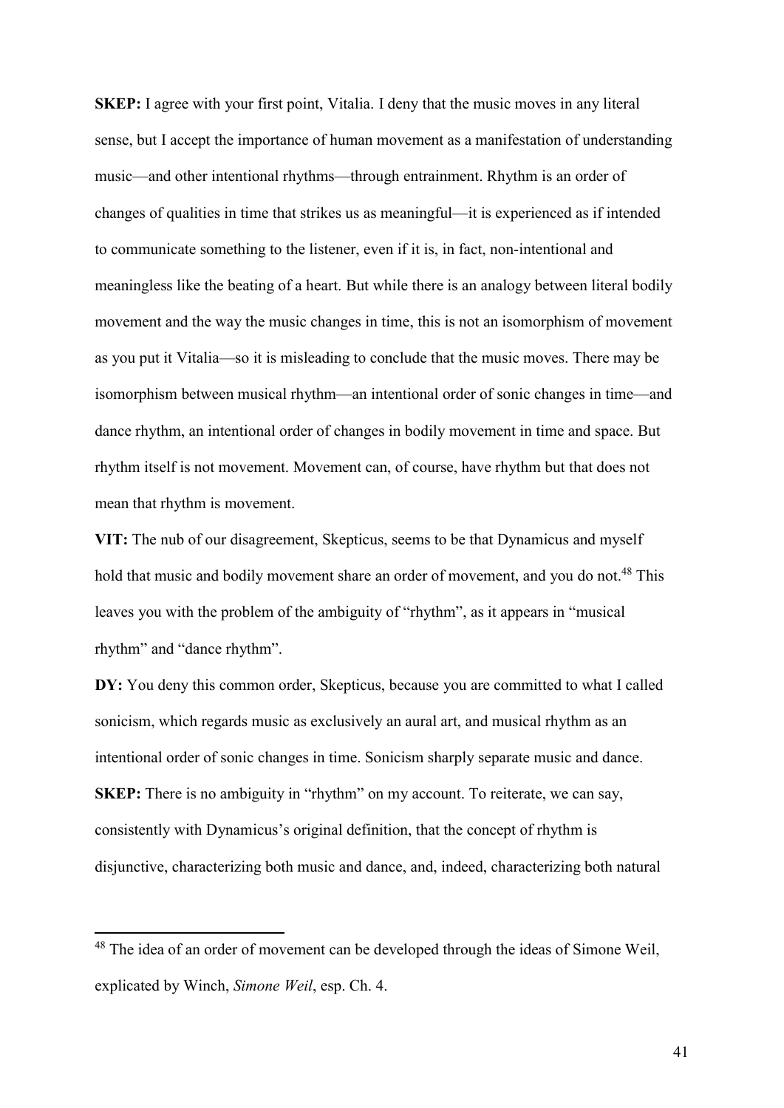SKEP: I agree with your first point, Vitalia. I deny that the music moves in any literal sense, but I accept the importance of human movement as a manifestation of understanding music—and other intentional rhythms—through entrainment. Rhythm is an order of changes of qualities in time that strikes us as meaningful—it is experienced as if intended to communicate something to the listener, even if it is, in fact, non-intentional and meaningless like the beating of a heart. But while there is an analogy between literal bodily movement and the way the music changes in time, this is not an isomorphism of movement as you put it Vitalia—so it is misleading to conclude that the music moves. There may be isomorphism between musical rhythm—an intentional order of sonic changes in time—and dance rhythm, an intentional order of changes in bodily movement in time and space. But rhythm itself is not movement. Movement can, of course, have rhythm but that does not mean that rhythm is movement.

VIT: The nub of our disagreement, Skepticus, seems to be that Dynamicus and myself hold that music and bodily movement share an order of movement, and you do not.<sup>48</sup> This leaves you with the problem of the ambiguity of "rhythm", as it appears in "musical rhythm" and "dance rhythm".

DY: You deny this common order, Skepticus, because you are committed to what I called sonicism, which regards music as exclusively an aural art, and musical rhythm as an intentional order of sonic changes in time. Sonicism sharply separate music and dance. SKEP: There is no ambiguity in "rhythm" on my account. To reiterate, we can say, consistently with Dynamicus's original definition, that the concept of rhythm is disjunctive, characterizing both music and dance, and, indeed, characterizing both natural

<sup>&</sup>lt;sup>48</sup> The idea of an order of movement can be developed through the ideas of Simone Weil, explicated by Winch, Simone Weil, esp. Ch. 4.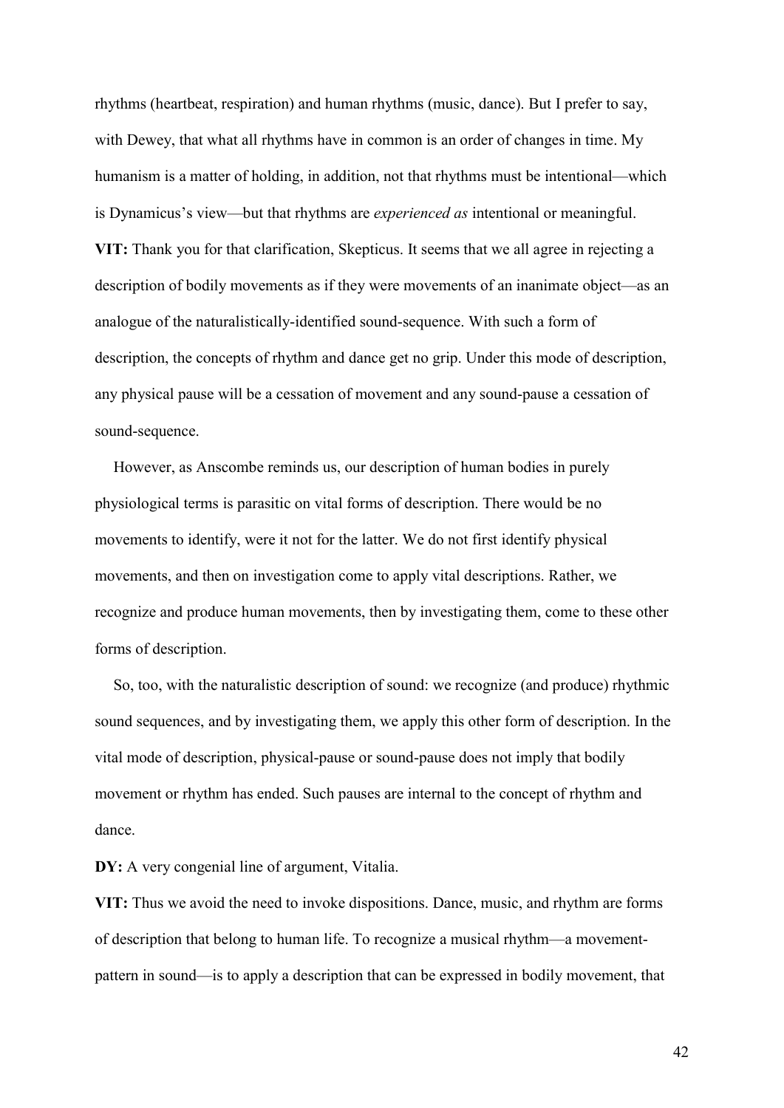rhythms (heartbeat, respiration) and human rhythms (music, dance). But I prefer to say, with Dewey, that what all rhythms have in common is an order of changes in time. My humanism is a matter of holding, in addition, not that rhythms must be intentional—which is Dynamicus's view—but that rhythms are experienced as intentional or meaningful. VIT: Thank you for that clarification, Skepticus. It seems that we all agree in rejecting a description of bodily movements as if they were movements of an inanimate object—as an analogue of the naturalistically-identified sound-sequence. With such a form of description, the concepts of rhythm and dance get no grip. Under this mode of description, any physical pause will be a cessation of movement and any sound-pause a cessation of sound-sequence.

However, as Anscombe reminds us, our description of human bodies in purely physiological terms is parasitic on vital forms of description. There would be no movements to identify, were it not for the latter. We do not first identify physical movements, and then on investigation come to apply vital descriptions. Rather, we recognize and produce human movements, then by investigating them, come to these other forms of description.

So, too, with the naturalistic description of sound: we recognize (and produce) rhythmic sound sequences, and by investigating them, we apply this other form of description. In the vital mode of description, physical-pause or sound-pause does not imply that bodily movement or rhythm has ended. Such pauses are internal to the concept of rhythm and dance.

DY: A very congenial line of argument, Vitalia.

VIT: Thus we avoid the need to invoke dispositions. Dance, music, and rhythm are forms of description that belong to human life. To recognize a musical rhythm—a movementpattern in sound—is to apply a description that can be expressed in bodily movement, that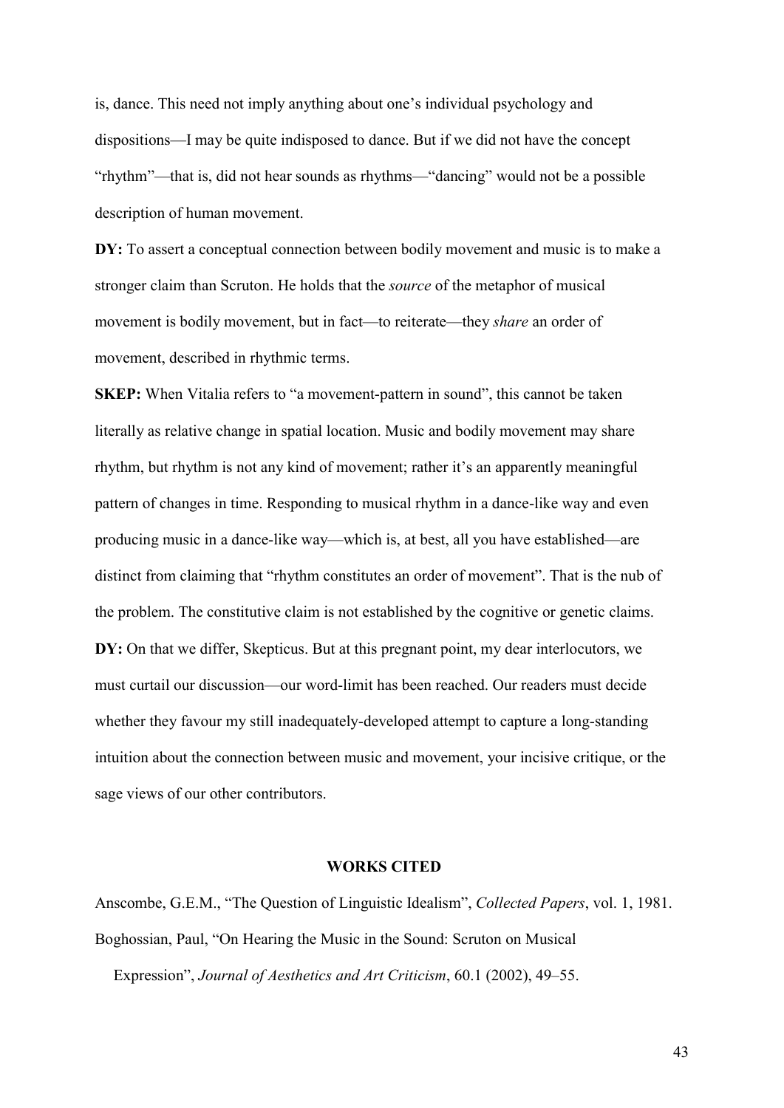is, dance. This need not imply anything about one's individual psychology and dispositions—I may be quite indisposed to dance. But if we did not have the concept "rhythm"—that is, did not hear sounds as rhythms—"dancing" would not be a possible description of human movement.

DY: To assert a conceptual connection between bodily movement and music is to make a stronger claim than Scruton. He holds that the source of the metaphor of musical movement is bodily movement, but in fact—to reiterate—they share an order of movement, described in rhythmic terms.

SKEP: When Vitalia refers to "a movement-pattern in sound", this cannot be taken literally as relative change in spatial location. Music and bodily movement may share rhythm, but rhythm is not any kind of movement; rather it's an apparently meaningful pattern of changes in time. Responding to musical rhythm in a dance-like way and even producing music in a dance-like way—which is, at best, all you have established—are distinct from claiming that "rhythm constitutes an order of movement". That is the nub of the problem. The constitutive claim is not established by the cognitive or genetic claims. DY: On that we differ, Skepticus. But at this pregnant point, my dear interlocutors, we must curtail our discussion—our word-limit has been reached. Our readers must decide whether they favour my still inadequately-developed attempt to capture a long-standing intuition about the connection between music and movement, your incisive critique, or the sage views of our other contributors.

### WORKS CITED

Anscombe, G.E.M., "The Question of Linguistic Idealism", Collected Papers, vol. 1, 1981. Boghossian, Paul, "On Hearing the Music in the Sound: Scruton on Musical

Expression", Journal of Aesthetics and Art Criticism, 60.1 (2002), 49–55.

43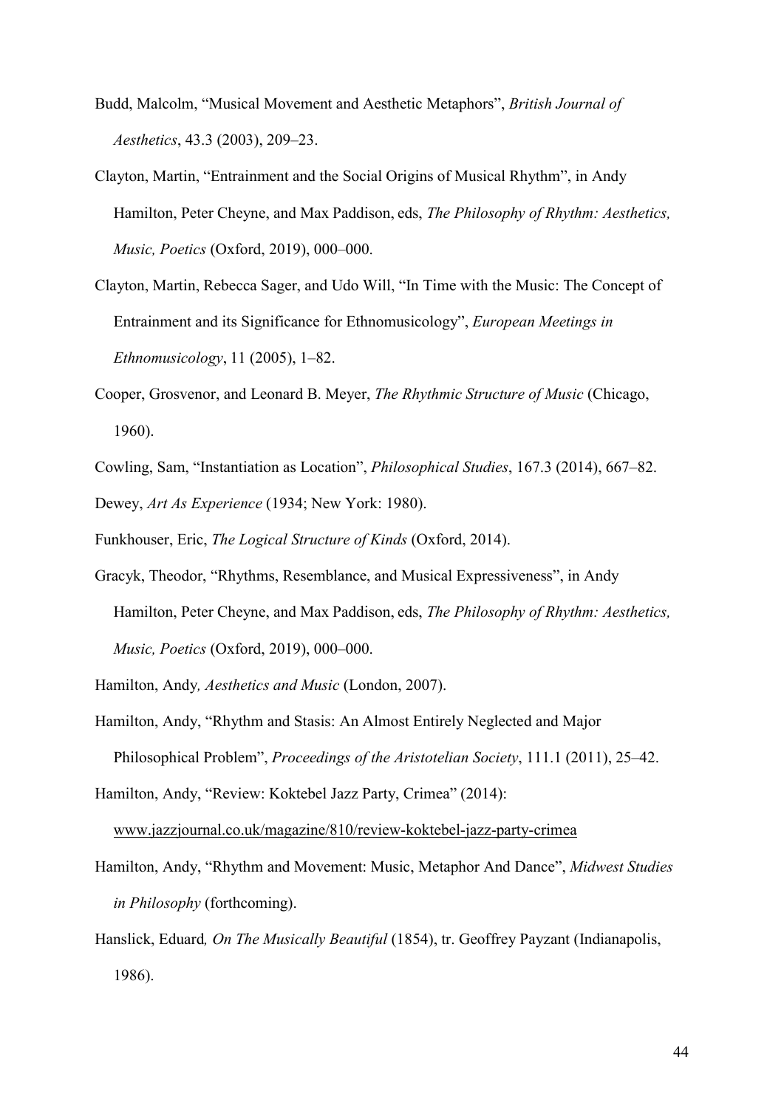- Budd, Malcolm, "Musical Movement and Aesthetic Metaphors", British Journal of Aesthetics, 43.3 (2003), 209–23.
- Clayton, Martin, "Entrainment and the Social Origins of Musical Rhythm", in Andy Hamilton, Peter Cheyne, and Max Paddison, eds, The Philosophy of Rhythm: Aesthetics, Music, Poetics (Oxford, 2019), 000–000.
- Clayton, Martin, Rebecca Sager, and Udo Will, "In Time with the Music: The Concept of Entrainment and its Significance for Ethnomusicology", European Meetings in Ethnomusicology, 11 (2005), 1–82.
- Cooper, Grosvenor, and Leonard B. Meyer, The Rhythmic Structure of Music (Chicago, 1960).
- Cowling, Sam, "Instantiation as Location", Philosophical Studies, 167.3 (2014), 667–82. Dewey, Art As Experience (1934; New York: 1980).
- Funkhouser, Eric, The Logical Structure of Kinds (Oxford, 2014).
- Gracyk, Theodor, "Rhythms, Resemblance, and Musical Expressiveness", in Andy Hamilton, Peter Cheyne, and Max Paddison, eds, The Philosophy of Rhythm: Aesthetics, Music, Poetics (Oxford, 2019), 000–000.
- Hamilton, Andy, Aesthetics and Music (London, 2007).
- Hamilton, Andy, "Rhythm and Stasis: An Almost Entirely Neglected and Major Philosophical Problem", Proceedings of the Aristotelian Society, 111.1 (2011), 25–42.
- Hamilton, Andy, "Review: Koktebel Jazz Party, Crimea" (2014): www.jazzjournal.co.uk/magazine/810/review-koktebel-jazz-party-crimea
- Hamilton, Andy, "Rhythm and Movement: Music, Metaphor And Dance", Midwest Studies in Philosophy (forthcoming).
- Hanslick, Eduard, On The Musically Beautiful (1854), tr. Geoffrey Payzant (Indianapolis, 1986).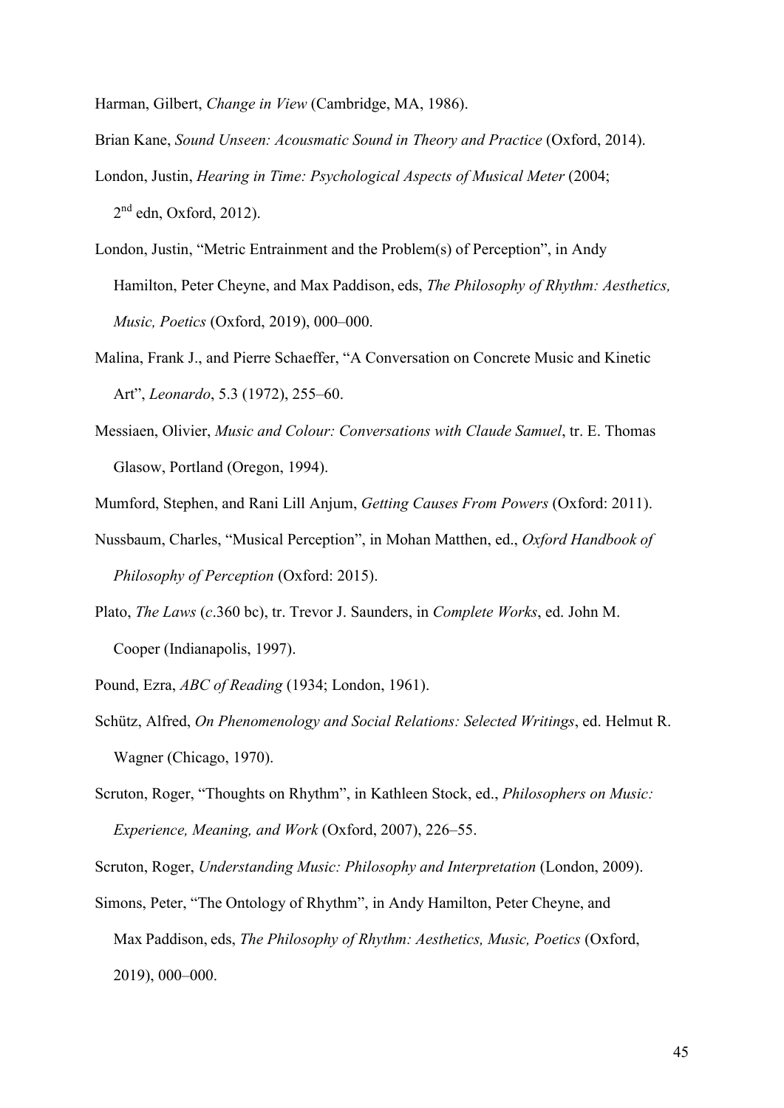Harman, Gilbert, Change in View (Cambridge, MA, 1986).

- Brian Kane, Sound Unseen: Acousmatic Sound in Theory and Practice (Oxford, 2014).
- London, Justin, Hearing in Time: Psychological Aspects of Musical Meter (2004;  $2<sup>nd</sup>$  edn, Oxford, 2012).
- London, Justin, "Metric Entrainment and the Problem(s) of Perception", in Andy Hamilton, Peter Cheyne, and Max Paddison, eds, The Philosophy of Rhythm: Aesthetics, Music, Poetics (Oxford, 2019), 000–000.
- Malina, Frank J., and Pierre Schaeffer, "A Conversation on Concrete Music and Kinetic Art", Leonardo, 5.3 (1972), 255–60.
- Messiaen, Olivier, Music and Colour: Conversations with Claude Samuel, tr. E. Thomas Glasow, Portland (Oregon, 1994).

Mumford, Stephen, and Rani Lill Anjum, Getting Causes From Powers (Oxford: 2011).

- Nussbaum, Charles, "Musical Perception", in Mohan Matthen, ed., Oxford Handbook of Philosophy of Perception (Oxford: 2015).
- Plato, The Laws (c.360 bc), tr. Trevor J. Saunders, in Complete Works, ed. John M. Cooper (Indianapolis, 1997).
- Pound, Ezra, ABC of Reading (1934; London, 1961).
- Schütz, Alfred, On Phenomenology and Social Relations: Selected Writings, ed. Helmut R. Wagner (Chicago, 1970).
- Scruton, Roger, "Thoughts on Rhythm", in Kathleen Stock, ed., Philosophers on Music: Experience, Meaning, and Work (Oxford, 2007), 226–55.

Scruton, Roger, Understanding Music: Philosophy and Interpretation (London, 2009).

Simons, Peter, "The Ontology of Rhythm", in Andy Hamilton, Peter Cheyne, and Max Paddison, eds, The Philosophy of Rhythm: Aesthetics, Music, Poetics (Oxford, 2019), 000–000.